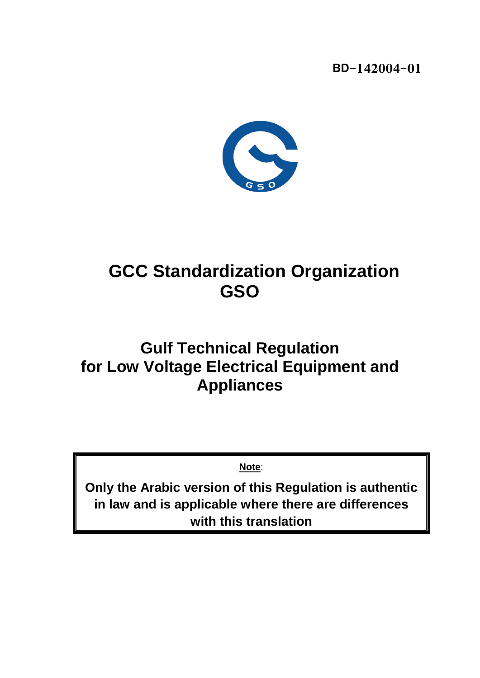**BD-142004-01**



# **GCC Standardization Organization GSO**

# **Gulf Technical Regulation for Low Voltage Electrical Equipment and Appliances**

**Note**:

**Only the Arabic version of this Regulation is authentic in law and is applicable where there are differences with this translation**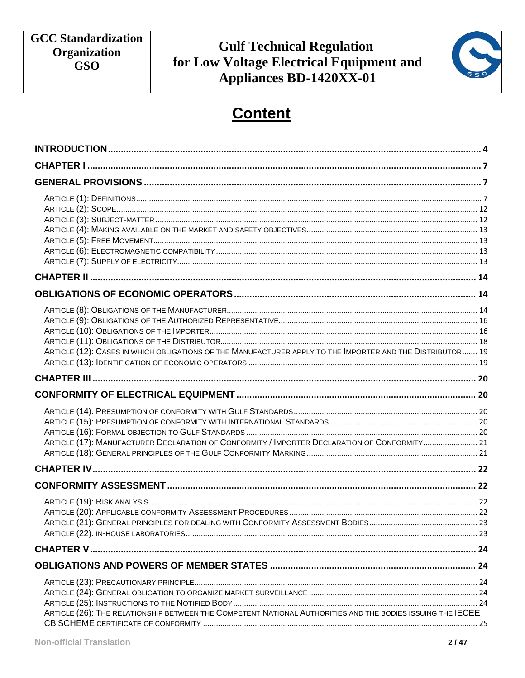

# **Content**

| ARTICLE (12): CASES IN WHICH OBLIGATIONS OF THE MANUFACTURER APPLY TO THE IMPORTER AND THE DISTRIBUTOR 19  |  |
|------------------------------------------------------------------------------------------------------------|--|
|                                                                                                            |  |
|                                                                                                            |  |
| ARTICLE (17): MANUFACTURER DECLARATION OF CONFORMITY / IMPORTER DECLARATION OF CONFORMITY 21               |  |
|                                                                                                            |  |
|                                                                                                            |  |
|                                                                                                            |  |
|                                                                                                            |  |
|                                                                                                            |  |
| ARTICLE (26): THE RELATIONSHIP BETWEEN THE COMPETENT NATIONAL AUTHORITIES AND THE BODIES ISSUING THE IECEE |  |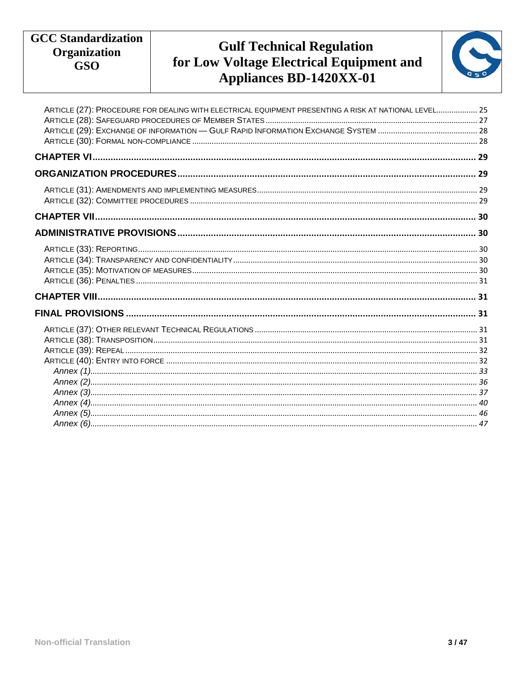# **Gulf Technical Regulation<br>for Low Voltage Electrical Equipment and** Appliances BD-1420XX-01



| ARTICLE (27): PROCEDURE FOR DEALING WITH ELECTRICAL EQUIPMENT PRESENTING A RISK AT NATIONAL LEVEL 25 |
|------------------------------------------------------------------------------------------------------|
|                                                                                                      |
|                                                                                                      |
|                                                                                                      |
|                                                                                                      |
|                                                                                                      |
|                                                                                                      |
|                                                                                                      |
|                                                                                                      |
|                                                                                                      |
|                                                                                                      |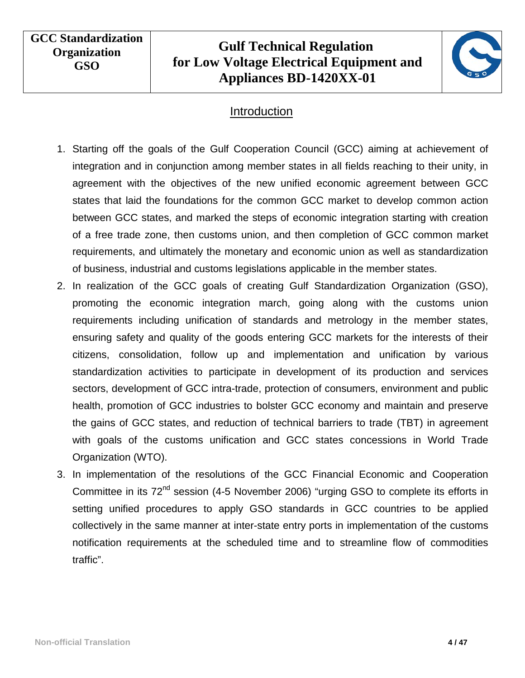# **Gulf Technical Regulation for Low Voltage Electrical Equipment and Appliances BD-1420XX-01**



#### Introduction

- <span id="page-3-0"></span>1. Starting off the goals of the Gulf Cooperation Council (GCC) aiming at achievement of integration and in conjunction among member states in all fields reaching to their unity, in agreement with the objectives of the new unified economic agreement between GCC states that laid the foundations for the common GCC market to develop common action between GCC states, and marked the steps of economic integration starting with creation of a free trade zone, then customs union, and then completion of GCC common market requirements, and ultimately the monetary and economic union as well as standardization of business, industrial and customs legislations applicable in the member states.
- 2. In realization of the GCC goals of creating Gulf Standardization Organization (GSO), promoting the economic integration march, going along with the customs union requirements including unification of standards and metrology in the member states, ensuring safety and quality of the goods entering GCC markets for the interests of their citizens, consolidation, follow up and implementation and unification by various standardization activities to participate in development of its production and services sectors, development of GCC intra-trade, protection of consumers, environment and public health, promotion of GCC industries to bolster GCC economy and maintain and preserve the gains of GCC states, and reduction of technical barriers to trade (TBT) in agreement with goals of the customs unification and GCC states concessions in World Trade Organization (WTO).
- 3. In implementation of the resolutions of the GCC Financial Economic and Cooperation Committee in its 72<sup>nd</sup> session (4-5 November 2006) "urging GSO to complete its efforts in setting unified procedures to apply GSO standards in GCC countries to be applied collectively in the same manner at inter-state entry ports in implementation of the customs notification requirements at the scheduled time and to streamline flow of commodities traffic".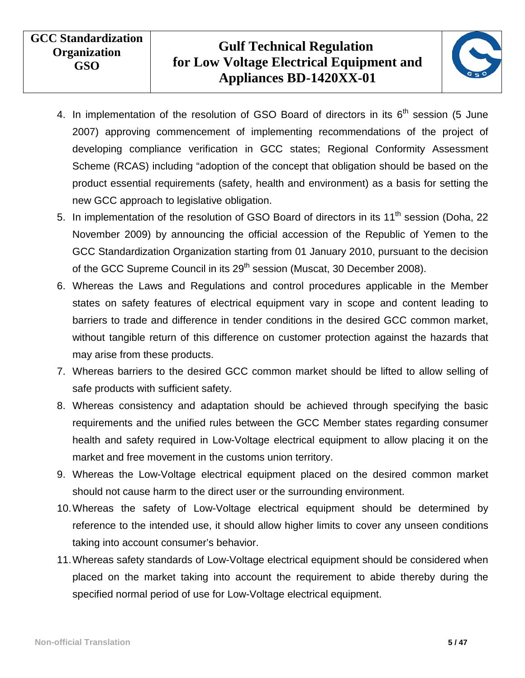

- 4. In implementation of the resolution of GSO Board of directors in its  $6<sup>th</sup>$  session (5 June 2007) approving commencement of implementing recommendations of the project of developing compliance verification in GCC states; Regional Conformity Assessment Scheme (RCAS) including "adoption of the concept that obligation should be based on the product essential requirements (safety, health and environment) as a basis for setting the new GCC approach to legislative obligation.
- 5. In implementation of the resolution of GSO Board of directors in its 11<sup>th</sup> session (Doha, 22 November 2009) by announcing the official accession of the Republic of Yemen to the GCC Standardization Organization starting from 01 January 2010, pursuant to the decision of the GCC Supreme Council in its 29<sup>th</sup> session (Muscat, 30 December 2008).
- 6. Whereas the Laws and Regulations and control procedures applicable in the Member states on safety features of electrical equipment vary in scope and content leading to barriers to trade and difference in tender conditions in the desired GCC common market, without tangible return of this difference on customer protection against the hazards that may arise from these products.
- 7. Whereas barriers to the desired GCC common market should be lifted to allow selling of safe products with sufficient safety.
- 8. Whereas consistency and adaptation should be achieved through specifying the basic requirements and the unified rules between the GCC Member states regarding consumer health and safety required in Low-Voltage electrical equipment to allow placing it on the market and free movement in the customs union territory.
- 9. Whereas the Low-Voltage electrical equipment placed on the desired common market should not cause harm to the direct user or the surrounding environment.
- 10.Whereas the safety of Low-Voltage electrical equipment should be determined by reference to the intended use, it should allow higher limits to cover any unseen conditions taking into account consumer's behavior.
- 11.Whereas safety standards of Low-Voltage electrical equipment should be considered when placed on the market taking into account the requirement to abide thereby during the specified normal period of use for Low-Voltage electrical equipment.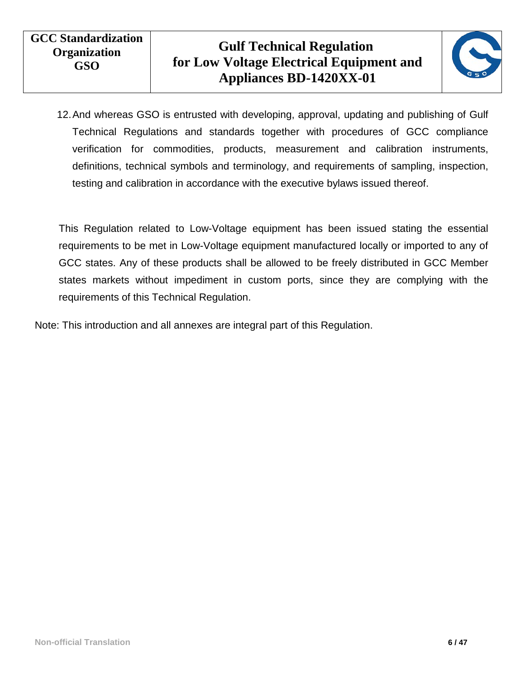

12.And whereas GSO is entrusted with developing, approval, updating and publishing of Gulf Technical Regulations and standards together with procedures of GCC compliance verification for commodities, products, measurement and calibration instruments, definitions, technical symbols and terminology, and requirements of sampling, inspection, testing and calibration in accordance with the executive bylaws issued thereof.

This Regulation related to Low-Voltage equipment has been issued stating the essential requirements to be met in Low-Voltage equipment manufactured locally or imported to any of GCC states. Any of these products shall be allowed to be freely distributed in GCC Member states markets without impediment in custom ports, since they are complying with the requirements of this Technical Regulation.

Note: This introduction and all annexes are integral part of this Regulation.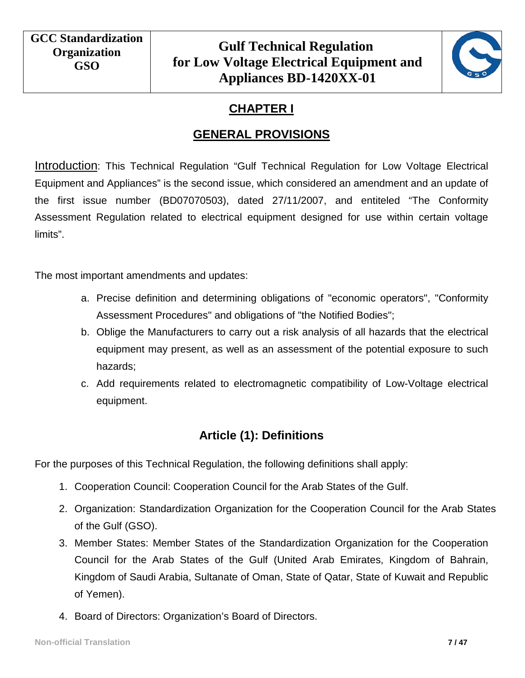

# **CHAPTER I**

## **GENERAL PROVISIONS**

<span id="page-6-1"></span><span id="page-6-0"></span>Introduction: This Technical Regulation "Gulf Technical Regulation for Low Voltage Electrical Equipment and Appliances" is the second issue, which considered an amendment and an update of the first issue number (BD07070503), dated 27/11/2007, and entiteled "The Conformity Assessment Regulation related to electrical equipment designed for use within certain voltage limits".

The most important amendments and updates:

- a. Precise definition and determining obligations of "economic operators", "Conformity Assessment Procedures" and obligations of "the Notified Bodies";
- b. Oblige the Manufacturers to carry out a risk analysis of all hazards that the electrical equipment may present, as well as an assessment of the potential exposure to such hazards;
- c. Add requirements related to electromagnetic compatibility of Low-Voltage electrical equipment.

#### **Article (1): Definitions**

<span id="page-6-2"></span>For the purposes of this Technical Regulation, the following definitions shall apply:

- 1. Cooperation Council: Cooperation Council for the Arab States of the Gulf.
- 2. Organization: Standardization Organization for the Cooperation Council for the Arab States of the Gulf (GSO).
- 3. Member States: Member States of the Standardization Organization for the Cooperation Council for the Arab States of the Gulf (United Arab Emirates, Kingdom of Bahrain, Kingdom of Saudi Arabia, Sultanate of Oman, State of Qatar, State of Kuwait and Republic of Yemen).
- 4. Board of Directors: Organization's Board of Directors.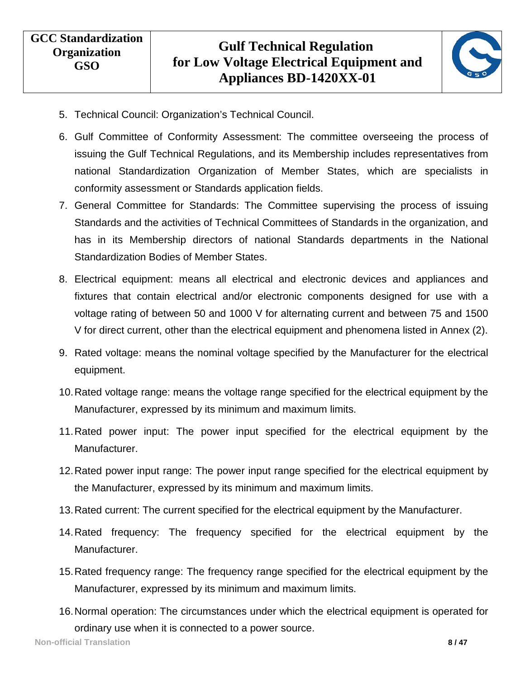

- 5. Technical Council: Organization's Technical Council.
- 6. Gulf Committee of Conformity Assessment: The committee overseeing the process of issuing the Gulf Technical Regulations, and its Membership includes representatives from national Standardization Organization of Member States, which are specialists in conformity assessment or Standards application fields.
- 7. General Committee for Standards: The Committee supervising the process of issuing Standards and the activities of Technical Committees of Standards in the organization, and has in its Membership directors of national Standards departments in the National Standardization Bodies of Member States.
- 8. Electrical equipment: means all electrical and electronic devices and appliances and fixtures that contain electrical and/or electronic components designed for use with a voltage rating of between 50 and 1000 V for alternating current and between 75 and 1500 V for direct current, other than the electrical equipment and phenomena listed in Annex (2).
- 9. Rated voltage: means the nominal voltage specified by the Manufacturer for the electrical equipment.
- 10.Rated voltage range: means the voltage range specified for the electrical equipment by the Manufacturer, expressed by its minimum and maximum limits.
- 11.Rated power input: The power input specified for the electrical equipment by the Manufacturer.
- 12.Rated power input range: The power input range specified for the electrical equipment by the Manufacturer, expressed by its minimum and maximum limits.
- 13.Rated current: The current specified for the electrical equipment by the Manufacturer.
- 14.Rated frequency: The frequency specified for the electrical equipment by the Manufacturer.
- 15.Rated frequency range: The frequency range specified for the electrical equipment by the Manufacturer, expressed by its minimum and maximum limits.
- 16.Normal operation: The circumstances under which the electrical equipment is operated for ordinary use when it is connected to a power source.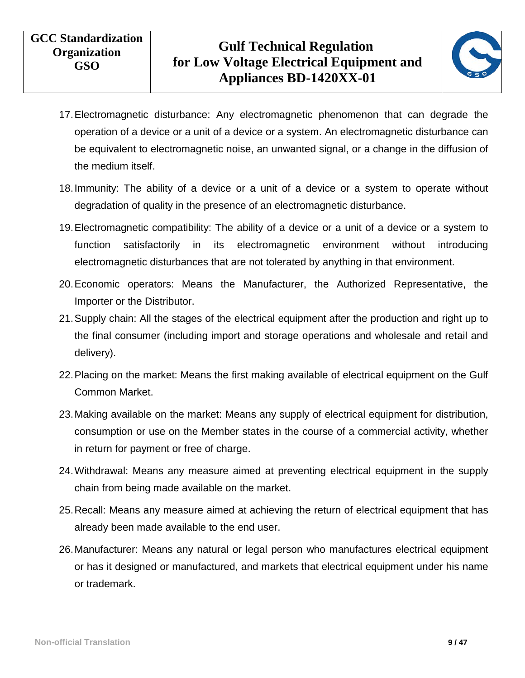

- 17.Electromagnetic disturbance: Any electromagnetic phenomenon that can degrade the operation of a device or a unit of a device or a system. An electromagnetic disturbance can be equivalent to electromagnetic noise, an unwanted signal, or a change in the diffusion of the medium itself.
- 18.Immunity: The ability of a device or a unit of a device or a system to operate without degradation of quality in the presence of an electromagnetic disturbance.
- 19.Electromagnetic compatibility: The ability of a device or a unit of a device or a system to function satisfactorily in its electromagnetic environment without introducing electromagnetic disturbances that are not tolerated by anything in that environment.
- 20.Economic operators: Means the Manufacturer, the Authorized Representative, the Importer or the Distributor.
- 21.Supply chain: All the stages of the electrical equipment after the production and right up to the final consumer (including import and storage operations and wholesale and retail and delivery).
- 22.Placing on the market: Means the first making available of electrical equipment on the Gulf Common Market.
- 23.Making available on the market: Means any supply of electrical equipment for distribution, consumption or use on the Member states in the course of a commercial activity, whether in return for payment or free of charge.
- 24.Withdrawal: Means any measure aimed at preventing electrical equipment in the supply chain from being made available on the market.
- 25.Recall: Means any measure aimed at achieving the return of electrical equipment that has already been made available to the end user.
- 26.Manufacturer: Means any natural or legal person who manufactures electrical equipment or has it designed or manufactured, and markets that electrical equipment under his name or trademark.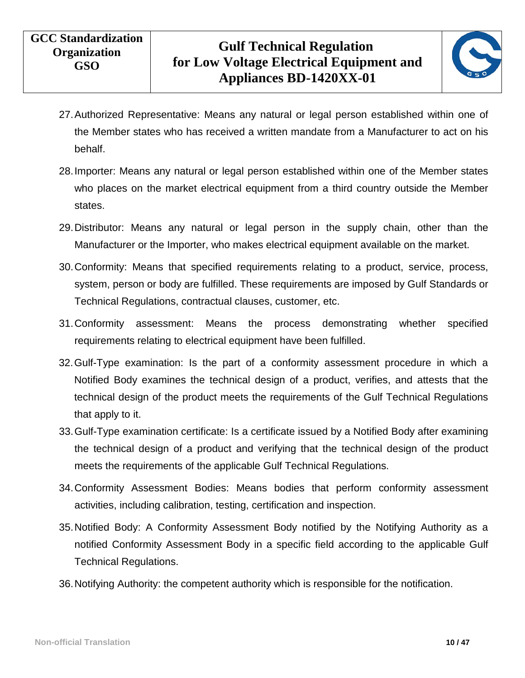

- 27.Authorized Representative: Means any natural or legal person established within one of the Member states who has received a written mandate from a Manufacturer to act on his behalf.
- 28.Importer: Means any natural or legal person established within one of the Member states who places on the market electrical equipment from a third country outside the Member states.
- 29.Distributor: Means any natural or legal person in the supply chain, other than the Manufacturer or the Importer, who makes electrical equipment available on the market.
- 30.Conformity: Means that specified requirements relating to a product, service, process, system, person or body are fulfilled. These requirements are imposed by Gulf Standards or Technical Regulations, contractual clauses, customer, etc.
- 31.Conformity assessment: Means the process demonstrating whether specified requirements relating to electrical equipment have been fulfilled.
- 32.Gulf-Type examination: Is the part of a conformity assessment procedure in which a Notified Body examines the technical design of a product, verifies, and attests that the technical design of the product meets the requirements of the Gulf Technical Regulations that apply to it.
- 33.Gulf-Type examination certificate: Is a certificate issued by a Notified Body after examining the technical design of a product and verifying that the technical design of the product meets the requirements of the applicable Gulf Technical Regulations.
- 34.Conformity Assessment Bodies: Means bodies that perform conformity assessment activities, including calibration, testing, certification and inspection.
- 35.Notified Body: A Conformity Assessment Body notified by the Notifying Authority as a notified Conformity Assessment Body in a specific field according to the applicable Gulf Technical Regulations.
- 36.Notifying Authority: the competent authority which is responsible for the notification.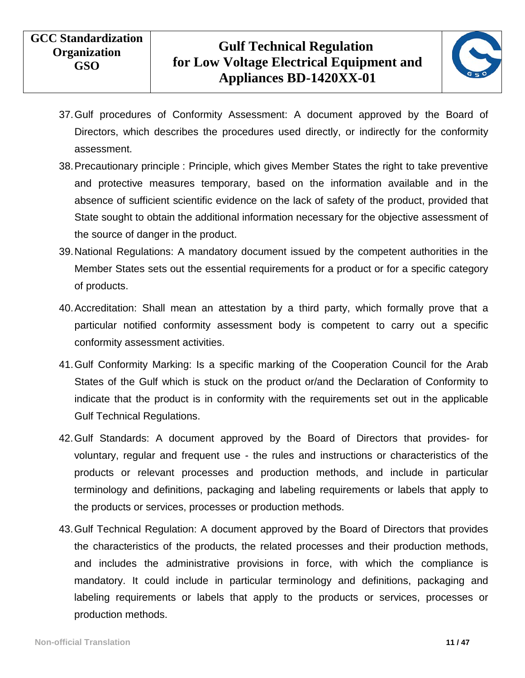

- 37.Gulf procedures of Conformity Assessment: A document approved by the Board of Directors, which describes the procedures used directly, or indirectly for the conformity assessment.
- 38.Precautionary principle : Principle, which gives Member States the right to take preventive and protective measures temporary, based on the information available and in the absence of sufficient scientific evidence on the lack of safety of the product, provided that State sought to obtain the additional information necessary for the objective assessment of the source of danger in the product.
- 39.National Regulations: A mandatory document issued by the competent authorities in the Member States sets out the essential requirements for a product or for a specific category of products.
- 40.Accreditation: Shall mean an attestation by a third party, which formally prove that a particular notified conformity assessment body is competent to carry out a specific conformity assessment activities.
- 41.Gulf Conformity Marking: Is a specific marking of the Cooperation Council for the Arab States of the Gulf which is stuck on the product or/and the Declaration of Conformity to indicate that the product is in conformity with the requirements set out in the applicable Gulf Technical Regulations.
- 42.Gulf Standards: A document approved by the Board of Directors that provides- for voluntary, regular and frequent use - the rules and instructions or characteristics of the products or relevant processes and production methods, and include in particular terminology and definitions, packaging and labeling requirements or labels that apply to the products or services, processes or production methods.
- 43.Gulf Technical Regulation: A document approved by the Board of Directors that provides the characteristics of the products, the related processes and their production methods, and includes the administrative provisions in force, with which the compliance is mandatory. It could include in particular terminology and definitions, packaging and labeling requirements or labels that apply to the products or services, processes or production methods.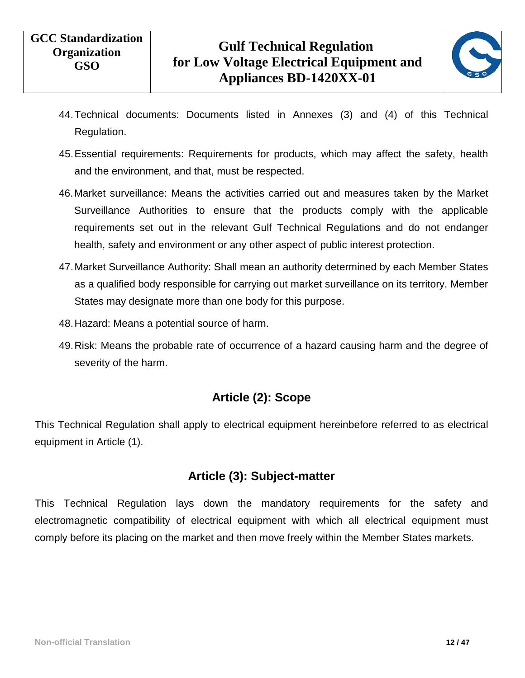

- 44.Technical documents: Documents listed in Annexes (3) and (4) of this Technical Regulation.
- 45.Essential requirements: Requirements for products, which may affect the safety, health and the environment, and that, must be respected.
- 46.Market surveillance: Means the activities carried out and measures taken by the Market Surveillance Authorities to ensure that the products comply with the applicable requirements set out in the relevant Gulf Technical Regulations and do not endanger health, safety and environment or any other aspect of public interest protection.
- 47.Market Surveillance Authority: Shall mean an authority determined by each Member States as a qualified body responsible for carrying out market surveillance on its territory. Member States may designate more than one body for this purpose.
- 48.Hazard: Means a potential source of harm.
- <span id="page-11-0"></span>49.Risk: Means the probable rate of occurrence of a hazard causing harm and the degree of severity of the harm.

#### **Article (2): Scope**

<span id="page-11-1"></span>This Technical Regulation shall apply to electrical equipment hereinbefore referred to as electrical equipment in Article (1).

#### **Article (3): Subject-matter**

This Technical Regulation lays down the mandatory requirements for the safety and electromagnetic compatibility of electrical equipment with which all electrical equipment must comply before its placing on the market and then move freely within the Member States markets.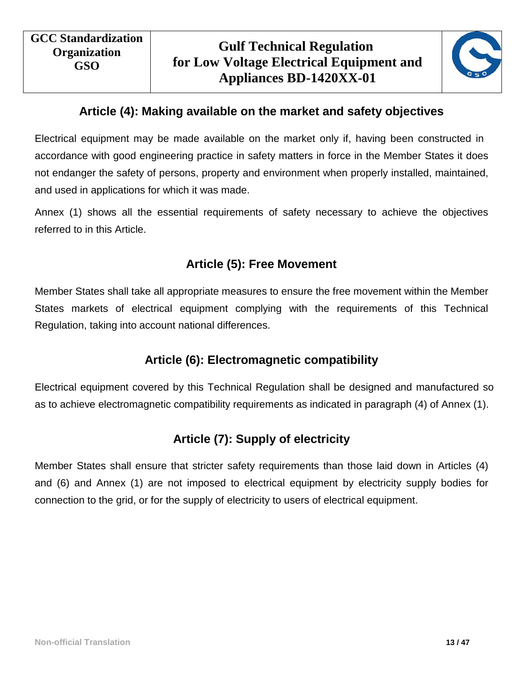

## **Article (4): Making available on the market and safety objectives**

<span id="page-12-0"></span>Electrical equipment may be made available on the market only if, having been constructed in accordance with good engineering practice in safety matters in force in the Member States it does not endanger the safety of persons, property and environment when properly installed, maintained, and used in applications for which it was made.

<span id="page-12-1"></span>Annex (1) shows all the essential requirements of safety necessary to achieve the objectives referred to in this Article.

## **Article (5): Free Movement**

<span id="page-12-2"></span>Member States shall take all appropriate measures to ensure the free movement within the Member States markets of electrical equipment complying with the requirements of this Technical Regulation, taking into account national differences.

## **Article (6): Electromagnetic compatibility**

<span id="page-12-3"></span>Electrical equipment covered by this Technical Regulation shall be designed and manufactured so as to achieve electromagnetic compatibility requirements as indicated in paragraph (4) of Annex (1).

## **Article (7): Supply of electricity**

Member States shall ensure that stricter safety requirements than those laid down in Articles (4) and (6) and Annex (1) are not imposed to electrical equipment by electricity supply bodies for connection to the grid, or for the supply of electricity to users of electrical equipment.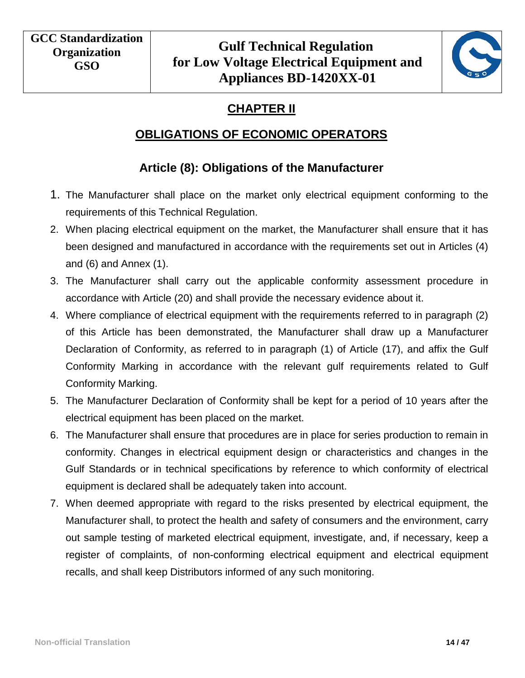

# **CHAPTER II**

#### **OBLIGATIONS OF ECONOMIC OPERATORS**

## **Article (8): Obligations of the Manufacturer**

- <span id="page-13-2"></span><span id="page-13-1"></span><span id="page-13-0"></span>1. The Manufacturer shall place on the market only electrical equipment conforming to the requirements of this Technical Regulation.
- 2. When placing electrical equipment on the market, the Manufacturer shall ensure that it has been designed and manufactured in accordance with the requirements set out in Articles (4) and (6) and Annex (1).
- 3. The Manufacturer shall carry out the applicable conformity assessment procedure in accordance with Article (20) and shall provide the necessary evidence about it.
- 4. Where compliance of electrical equipment with the requirements referred to in paragraph (2) of this Article has been demonstrated, the Manufacturer shall draw up a Manufacturer Declaration of Conformity, as referred to in paragraph (1) of Article (17), and affix the Gulf Conformity Marking in accordance with the relevant gulf requirements related to Gulf Conformity Marking.
- 5. The Manufacturer Declaration of Conformity shall be kept for a period of 10 years after the electrical equipment has been placed on the market.
- 6. The Manufacturer shall ensure that procedures are in place for series production to remain in conformity. Changes in electrical equipment design or characteristics and changes in the Gulf Standards or in technical specifications by reference to which conformity of electrical equipment is declared shall be adequately taken into account.
- 7. When deemed appropriate with regard to the risks presented by electrical equipment, the Manufacturer shall, to protect the health and safety of consumers and the environment, carry out sample testing of marketed electrical equipment, investigate, and, if necessary, keep a register of complaints, of non-conforming electrical equipment and electrical equipment recalls, and shall keep Distributors informed of any such monitoring.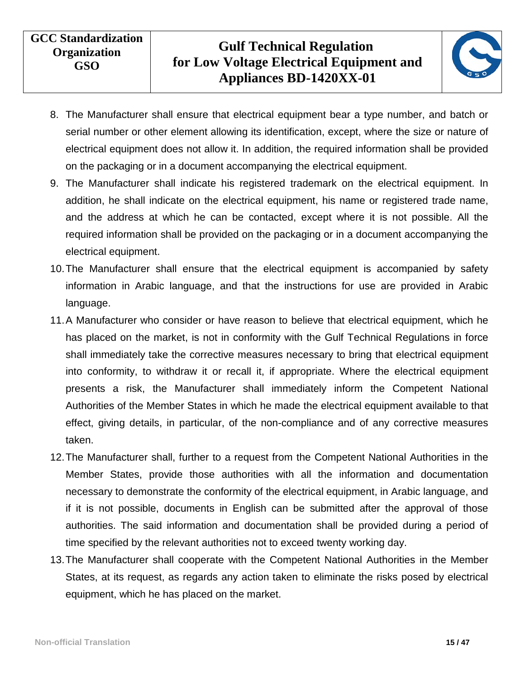

- 8. The Manufacturer shall ensure that electrical equipment bear a type number, and batch or serial number or other element allowing its identification, except, where the size or nature of electrical equipment does not allow it. In addition, the required information shall be provided on the packaging or in a document accompanying the electrical equipment.
- 9. The Manufacturer shall indicate his registered trademark on the electrical equipment. In addition, he shall indicate on the electrical equipment, his name or registered trade name, and the address at which he can be contacted, except where it is not possible. All the required information shall be provided on the packaging or in a document accompanying the electrical equipment.
- 10.The Manufacturer shall ensure that the electrical equipment is accompanied by safety information in Arabic language, and that the instructions for use are provided in Arabic language.
- 11.A Manufacturer who consider or have reason to believe that electrical equipment, which he has placed on the market, is not in conformity with the Gulf Technical Regulations in force shall immediately take the corrective measures necessary to bring that electrical equipment into conformity, to withdraw it or recall it, if appropriate. Where the electrical equipment presents a risk, the Manufacturer shall immediately inform the Competent National Authorities of the Member States in which he made the electrical equipment available to that effect, giving details, in particular, of the non-compliance and of any corrective measures taken.
- 12.The Manufacturer shall, further to a request from the Competent National Authorities in the Member States, provide those authorities with all the information and documentation necessary to demonstrate the conformity of the electrical equipment, in Arabic language, and if it is not possible, documents in English can be submitted after the approval of those authorities. The said information and documentation shall be provided during a period of time specified by the relevant authorities not to exceed twenty working day.
- 13.The Manufacturer shall cooperate with the Competent National Authorities in the Member States, at its request, as regards any action taken to eliminate the risks posed by electrical equipment, which he has placed on the market.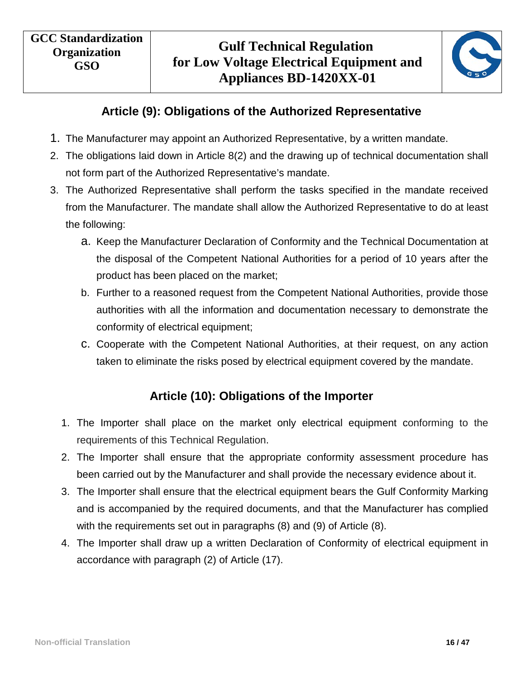

## **Article (9): Obligations of the Authorized Representative**

- <span id="page-15-0"></span>1. The Manufacturer may appoint an Authorized Representative, by a written mandate.
- 2. The obligations laid down in Article 8(2) and the drawing up of technical documentation shall not form part of the Authorized Representative's mandate.
- 3. The Authorized Representative shall perform the tasks specified in the mandate received from the Manufacturer. The mandate shall allow the Authorized Representative to do at least the following:
	- a. Keep the Manufacturer Declaration of Conformity and the Technical Documentation at the disposal of the Competent National Authorities for a period of 10 years after the product has been placed on the market;
	- b. Further to a reasoned request from the Competent National Authorities, provide those authorities with all the information and documentation necessary to demonstrate the conformity of electrical equipment;
	- c. Cooperate with the Competent National Authorities, at their request, on any action taken to eliminate the risks posed by electrical equipment covered by the mandate.

#### **Article (10): Obligations of the Importer**

- <span id="page-15-1"></span>1. The Importer shall place on the market only electrical equipment conforming to the requirements of this Technical Regulation.
- 2. The Importer shall ensure that the appropriate conformity assessment procedure has been carried out by the Manufacturer and shall provide the necessary evidence about it.
- 3. The Importer shall ensure that the electrical equipment bears the Gulf Conformity Marking and is accompanied by the required documents, and that the Manufacturer has complied with the requirements set out in paragraphs (8) and (9) of Article (8).
- 4. The Importer shall draw up a written Declaration of Conformity of electrical equipment in accordance with paragraph (2) of Article (17).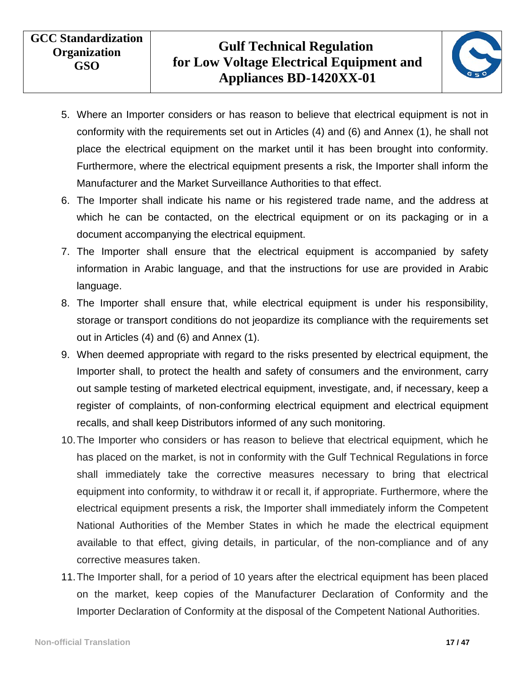

- 5. Where an Importer considers or has reason to believe that electrical equipment is not in conformity with the requirements set out in Articles (4) and (6) and Annex (1), he shall not place the electrical equipment on the market until it has been brought into conformity. Furthermore, where the electrical equipment presents a risk, the Importer shall inform the Manufacturer and the Market Surveillance Authorities to that effect.
- 6. The Importer shall indicate his name or his registered trade name, and the address at which he can be contacted, on the electrical equipment or on its packaging or in a document accompanying the electrical equipment.
- 7. The Importer shall ensure that the electrical equipment is accompanied by safety information in Arabic language, and that the instructions for use are provided in Arabic language.
- 8. The Importer shall ensure that, while electrical equipment is under his responsibility, storage or transport conditions do not jeopardize its compliance with the requirements set out in Articles (4) and (6) and Annex (1).
- 9. When deemed appropriate with regard to the risks presented by electrical equipment, the Importer shall, to protect the health and safety of consumers and the environment, carry out sample testing of marketed electrical equipment, investigate, and, if necessary, keep a register of complaints, of non-conforming electrical equipment and electrical equipment recalls, and shall keep Distributors informed of any such monitoring.
- 10.The Importer who considers or has reason to believe that electrical equipment, which he has placed on the market, is not in conformity with the Gulf Technical Regulations in force shall immediately take the corrective measures necessary to bring that electrical equipment into conformity, to withdraw it or recall it, if appropriate. Furthermore, where the electrical equipment presents a risk, the Importer shall immediately inform the Competent National Authorities of the Member States in which he made the electrical equipment available to that effect, giving details, in particular, of the non-compliance and of any corrective measures taken.
- 11.The Importer shall, for a period of 10 years after the electrical equipment has been placed on the market, keep copies of the Manufacturer Declaration of Conformity and the Importer Declaration of Conformity at the disposal of the Competent National Authorities.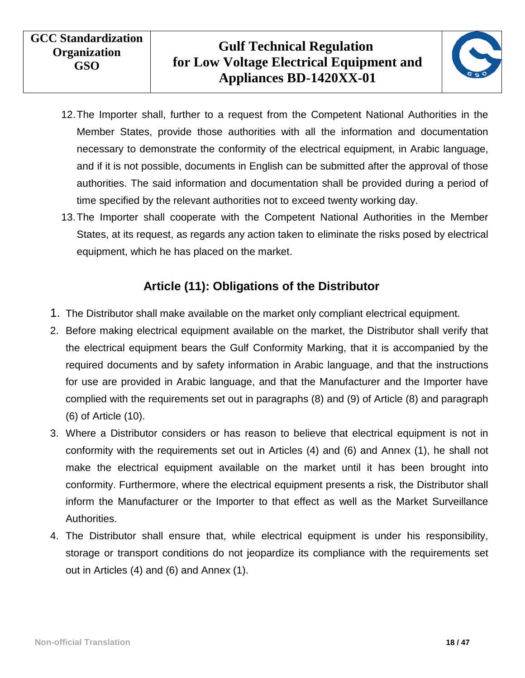

- 12.The Importer shall, further to a request from the Competent National Authorities in the Member States, provide those authorities with all the information and documentation necessary to demonstrate the conformity of the electrical equipment, in Arabic language, and if it is not possible, documents in English can be submitted after the approval of those authorities. The said information and documentation shall be provided during a period of time specified by the relevant authorities not to exceed twenty working day.
- 13.The Importer shall cooperate with the Competent National Authorities in the Member States, at its request, as regards any action taken to eliminate the risks posed by electrical equipment, which he has placed on the market.

#### **Article (11): Obligations of the Distributor**

- <span id="page-17-0"></span>1. The Distributor shall make available on the market only compliant electrical equipment.
- 2. Before making electrical equipment available on the market, the Distributor shall verify that the electrical equipment bears the Gulf Conformity Marking, that it is accompanied by the required documents and by safety information in Arabic language, and that the instructions for use are provided in Arabic language, and that the Manufacturer and the Importer have complied with the requirements set out in paragraphs (8) and (9) of Article (8) and paragraph (6) of Article (10).
- 3. Where a Distributor considers or has reason to believe that electrical equipment is not in conformity with the requirements set out in Articles (4) and (6) and Annex (1), he shall not make the electrical equipment available on the market until it has been brought into conformity. Furthermore, where the electrical equipment presents a risk, the Distributor shall inform the Manufacturer or the Importer to that effect as well as the Market Surveillance Authorities.
- 4. The Distributor shall ensure that, while electrical equipment is under his responsibility, storage or transport conditions do not jeopardize its compliance with the requirements set out in Articles (4) and (6) and Annex (1).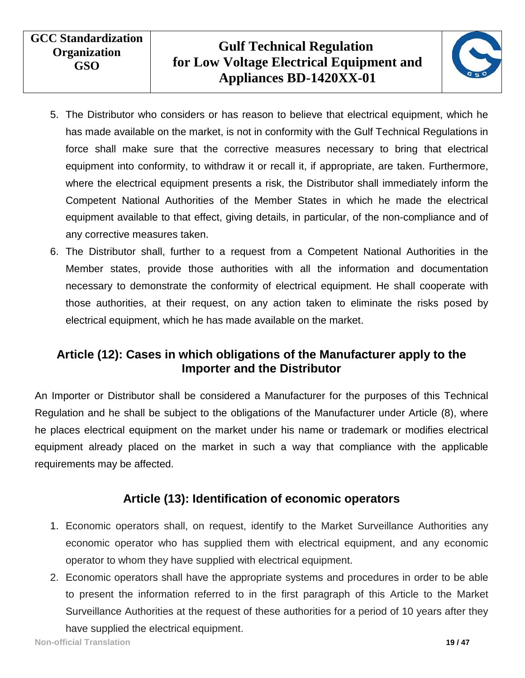

- 5. The Distributor who considers or has reason to believe that electrical equipment, which he has made available on the market, is not in conformity with the Gulf Technical Regulations in force shall make sure that the corrective measures necessary to bring that electrical equipment into conformity, to withdraw it or recall it, if appropriate, are taken. Furthermore, where the electrical equipment presents a risk, the Distributor shall immediately inform the Competent National Authorities of the Member States in which he made the electrical equipment available to that effect, giving details, in particular, of the non-compliance and of any corrective measures taken.
- 6. The Distributor shall, further to a request from a Competent National Authorities in the Member states, provide those authorities with all the information and documentation necessary to demonstrate the conformity of electrical equipment. He shall cooperate with those authorities, at their request, on any action taken to eliminate the risks posed by electrical equipment, which he has made available on the market.

#### <span id="page-18-0"></span>**Article (12): Cases in which obligations of the Manufacturer apply to the Importer and the Distributor**

An Importer or Distributor shall be considered a Manufacturer for the purposes of this Technical Regulation and he shall be subject to the obligations of the Manufacturer under Article (8), where he places electrical equipment on the market under his name or trademark or modifies electrical equipment already placed on the market in such a way that compliance with the applicable requirements may be affected.

#### **Article (13): Identification of economic operators**

- <span id="page-18-1"></span>1. Economic operators shall, on request, identify to the Market Surveillance Authorities any economic operator who has supplied them with electrical equipment, and any economic operator to whom they have supplied with electrical equipment.
- 2. Economic operators shall have the appropriate systems and procedures in order to be able to present the information referred to in the first paragraph of this Article to the Market Surveillance Authorities at the request of these authorities for a period of 10 years after they

have supplied the electrical equipment.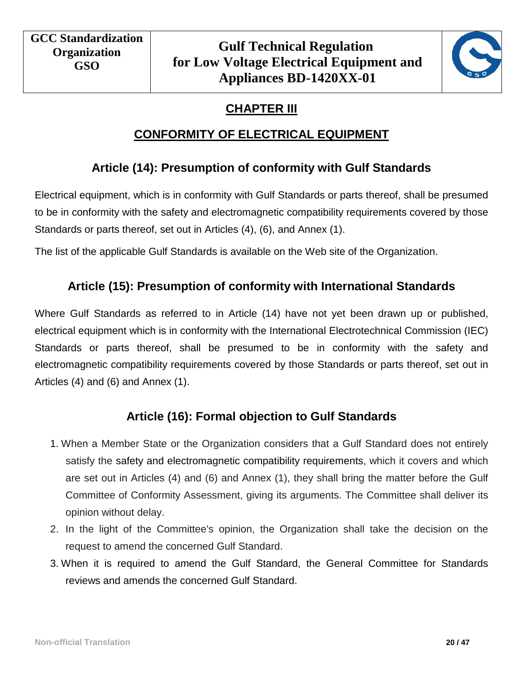

# **CHAPTER III**

## **CONFORMITY OF ELECTRICAL EQUIPMENT**

## <span id="page-19-0"></span>**Article (14): Presumption of conformity with Gulf Standards**

<span id="page-19-2"></span><span id="page-19-1"></span>Electrical equipment, which is in conformity with Gulf Standards or parts thereof, shall be presumed to be in conformity with the safety and electromagnetic compatibility requirements covered by those Standards or parts thereof, set out in Articles (4), (6), and Annex (1).

<span id="page-19-3"></span>The list of the applicable Gulf Standards is available on the Web site of the Organization.

## **Article (15): Presumption of conformity with International Standards**

Where Gulf Standards as referred to in Article (14) have not yet been drawn up or published, electrical equipment which is in conformity with the International Electrotechnical Commission (IEC) Standards or parts thereof, shall be presumed to be in conformity with the safety and electromagnetic compatibility requirements covered by those Standards or parts thereof, set out in Articles (4) and (6) and Annex (1).

#### **Article (16): Formal objection to Gulf Standards**

- <span id="page-19-4"></span>1. When a Member State or the Organization considers that a Gulf Standard does not entirely satisfy the safety and electromagnetic compatibility requirements, which it covers and which are set out in Articles (4) and (6) and Annex (1), they shall bring the matter before the Gulf Committee of Conformity Assessment, giving its arguments. The Committee shall deliver its opinion without delay.
- 2. In the light of the Committee's opinion, the Organization shall take the decision on the request to amend the concerned Gulf Standard.
- 3. When it is required to amend the Gulf Standard, the General Committee for Standards reviews and amends the concerned Gulf Standard.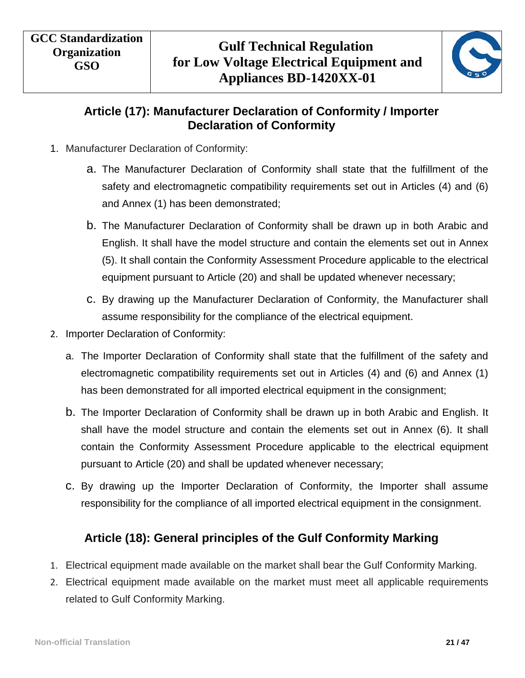

#### **Article (17): Manufacturer Declaration of Conformity / Importer Declaration of Conformity**

- <span id="page-20-0"></span>1. Manufacturer Declaration of Conformity:
	- a. The Manufacturer Declaration of Conformity shall state that the fulfillment of the safety and electromagnetic compatibility requirements set out in Articles (4) and (6) and Annex (1) has been demonstrated;
	- b. The Manufacturer Declaration of Conformity shall be drawn up in both Arabic and English. It shall have the model structure and contain the elements set out in Annex (5). It shall contain the Conformity Assessment Procedure applicable to the electrical equipment pursuant to Article (20) and shall be updated whenever necessary;
	- c. By drawing up the Manufacturer Declaration of Conformity, the Manufacturer shall assume responsibility for the compliance of the electrical equipment.
- 2. Importer Declaration of Conformity:
	- a. The Importer Declaration of Conformity shall state that the fulfillment of the safety and electromagnetic compatibility requirements set out in Articles (4) and (6) and Annex (1) has been demonstrated for all imported electrical equipment in the consignment;
	- b. The Importer Declaration of Conformity shall be drawn up in both Arabic and English. It shall have the model structure and contain the elements set out in Annex (6). It shall contain the Conformity Assessment Procedure applicable to the electrical equipment pursuant to Article (20) and shall be updated whenever necessary;
	- c. By drawing up the Importer Declaration of Conformity, the Importer shall assume responsibility for the compliance of all imported electrical equipment in the consignment.

#### **Article (18): General principles of the Gulf Conformity Marking**

- <span id="page-20-1"></span>1. Electrical equipment made available on the market shall bear the Gulf Conformity Marking.
- 2. Electrical equipment made available on the market must meet all applicable requirements related to Gulf Conformity Marking.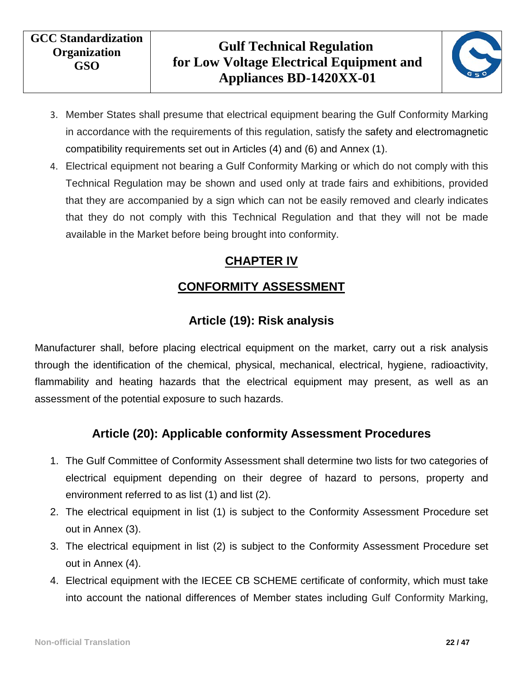

- 3. Member States shall presume that electrical equipment bearing the Gulf Conformity Marking in accordance with the requirements of this regulation, satisfy the safety and electromagnetic compatibility requirements set out in Articles (4) and (6) and Annex (1).
- <span id="page-21-0"></span>4. Electrical equipment not bearing a Gulf Conformity Marking or which do not comply with this Technical Regulation may be shown and used only at trade fairs and exhibitions, provided that they are accompanied by a sign which can not be easily removed and clearly indicates that they do not comply with this Technical Regulation and that they will not be made available in the Market before being brought into conformity.

## **CHAPTER IV**

# **CONFORMITY ASSESSMENT**

# **Article (19): Risk analysis**

<span id="page-21-2"></span><span id="page-21-1"></span>Manufacturer shall, before placing electrical equipment on the market, carry out a risk analysis through the identification of the chemical, physical, mechanical, electrical, hygiene, radioactivity, flammability and heating hazards that the electrical equipment may present, as well as an assessment of the potential exposure to such hazards.

## **Article (20): Applicable conformity Assessment Procedures**

- <span id="page-21-3"></span>1. The Gulf Committee of Conformity Assessment shall determine two lists for two categories of electrical equipment depending on their degree of hazard to persons, property and environment referred to as list (1) and list (2).
- 2. The electrical equipment in list (1) is subject to the Conformity Assessment Procedure set out in Annex (3).
- 3. The electrical equipment in list (2) is subject to the Conformity Assessment Procedure set out in Annex (4).
- 4. Electrical equipment with the IECEE CB SCHEME certificate of conformity, which must take into account the national differences of Member states including Gulf Conformity Marking,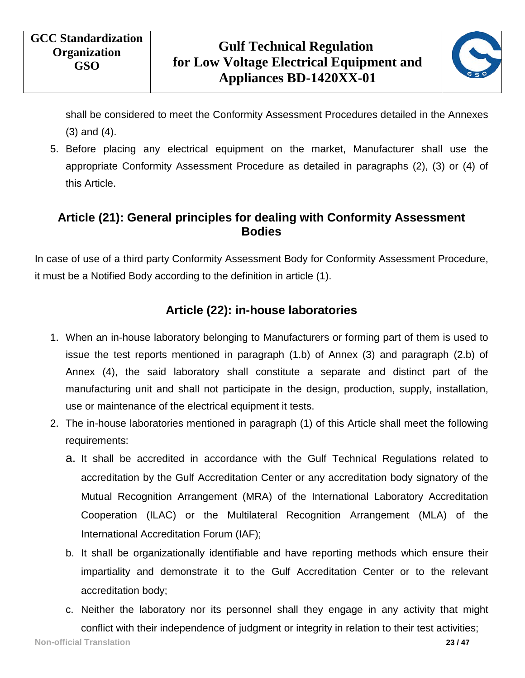

shall be considered to meet the Conformity Assessment Procedures detailed in the Annexes (3) and (4).

5. Before placing any electrical equipment on the market, Manufacturer shall use the appropriate Conformity Assessment Procedure as detailed in paragraphs (2), (3) or (4) of this Article.

#### <span id="page-22-0"></span>**Article (21): General principles for dealing with Conformity Assessment Bodies**

<span id="page-22-1"></span>In case of use of a third party Conformity Assessment Body for Conformity Assessment Procedure, it must be a Notified Body according to the definition in article (1).

#### **Article (22): in-house laboratories**

- 1. When an in-house laboratory belonging to Manufacturers or forming part of them is used to issue the test reports mentioned in paragraph (1.b) of Annex (3) and paragraph (2.b) of Annex (4), the said laboratory shall constitute a separate and distinct part of the manufacturing unit and shall not participate in the design, production, supply, installation, use or maintenance of the electrical equipment it tests.
- 2. The in-house laboratories mentioned in paragraph (1) of this Article shall meet the following requirements:
	- a. It shall be accredited in accordance with the Gulf Technical Regulations related to accreditation by the Gulf Accreditation Center or any accreditation body signatory of the Mutual Recognition Arrangement (MRA) of the International Laboratory Accreditation Cooperation (ILAC) or the Multilateral Recognition Arrangement (MLA) of the International Accreditation Forum (IAF);
	- b. It shall be organizationally identifiable and have reporting methods which ensure their impartiality and demonstrate it to the Gulf Accreditation Center or to the relevant accreditation body;
	- c. Neither the laboratory nor its personnel shall they engage in any activity that might conflict with their independence of judgment or integrity in relation to their test activities;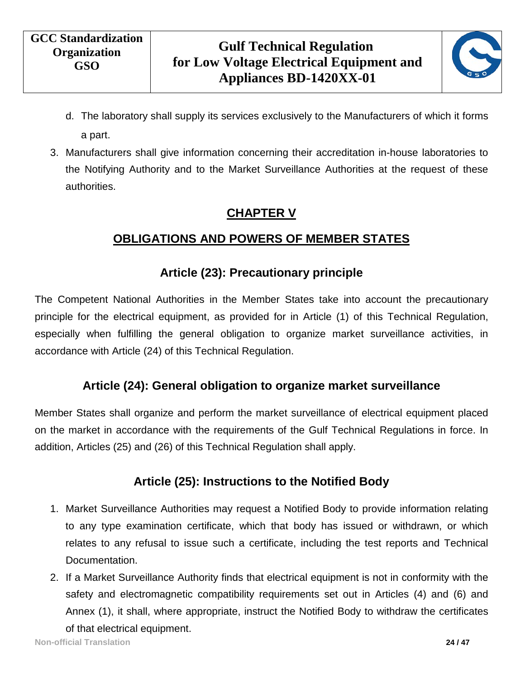

- d. The laboratory shall supply its services exclusively to the Manufacturers of which it forms a part.
- <span id="page-23-0"></span>3. Manufacturers shall give information concerning their accreditation in-house laboratories to the Notifying Authority and to the Market Surveillance Authorities at the request of these authorities.

# **CHAPTER V**

# **OBLIGATIONS AND POWERS OF MEMBER STATES**

## **Article (23): Precautionary principle**

<span id="page-23-2"></span><span id="page-23-1"></span>The Competent National Authorities in the Member States take into account the precautionary principle for the electrical equipment, as provided for in Article (1) of this Technical Regulation, especially when fulfilling the general obligation to organize market surveillance activities, in accordance with Article (24) of this Technical Regulation.

## **Article (24): General obligation to organize market surveillance**

<span id="page-23-4"></span><span id="page-23-3"></span>Member States shall organize and perform the market surveillance of electrical equipment placed on the market in accordance with the requirements of the Gulf Technical Regulations in force. In addition, Articles (25) and (26) of this Technical Regulation shall apply.

## **Article (25): Instructions to the Notified Body**

- 1. Market Surveillance Authorities may request a Notified Body to provide information relating to any type examination certificate, which that body has issued or withdrawn, or which relates to any refusal to issue such a certificate, including the test reports and Technical Documentation.
- 2. If a Market Surveillance Authority finds that electrical equipment is not in conformity with the safety and electromagnetic compatibility requirements set out in Articles (4) and (6) and Annex (1), it shall, where appropriate, instruct the Notified Body to withdraw the certificates of that electrical equipment.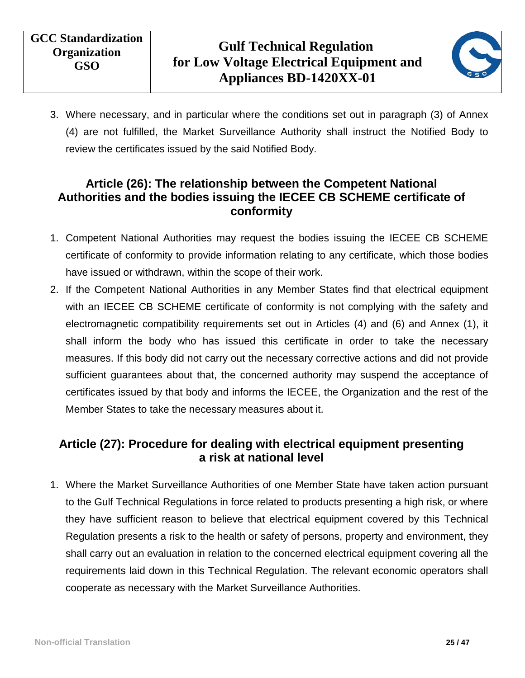

3. Where necessary, and in particular where the conditions set out in paragraph (3) of Annex (4) are not fulfilled, the Market Surveillance Authority shall instruct the Notified Body to review the certificates issued by the said Notified Body.

#### <span id="page-24-0"></span>**Article (26): The relationship between the Competent National Authorities and the bodies issuing the IECEE CB SCHEME certificate of conformity**

- 1. Competent National Authorities may request the bodies issuing the IECEE CB SCHEME certificate of conformity to provide information relating to any certificate, which those bodies have issued or withdrawn, within the scope of their work.
- 2. If the Competent National Authorities in any Member States find that electrical equipment with an IECEE CB SCHEME certificate of conformity is not complying with the safety and electromagnetic compatibility requirements set out in Articles (4) and (6) and Annex (1), it shall inform the body who has issued this certificate in order to take the necessary measures. If this body did not carry out the necessary corrective actions and did not provide sufficient guarantees about that, the concerned authority may suspend the acceptance of certificates issued by that body and informs the IECEE, the Organization and the rest of the Member States to take the necessary measures about it.

#### <span id="page-24-1"></span>**Article (27): Procedure for dealing with electrical equipment presenting a risk at national level**

1. Where the Market Surveillance Authorities of one Member State have taken action pursuant to the Gulf Technical Regulations in force related to products presenting a high risk, or where they have sufficient reason to believe that electrical equipment covered by this Technical Regulation presents a risk to the health or safety of persons, property and environment, they shall carry out an evaluation in relation to the concerned electrical equipment covering all the requirements laid down in this Technical Regulation. The relevant economic operators shall cooperate as necessary with the Market Surveillance Authorities.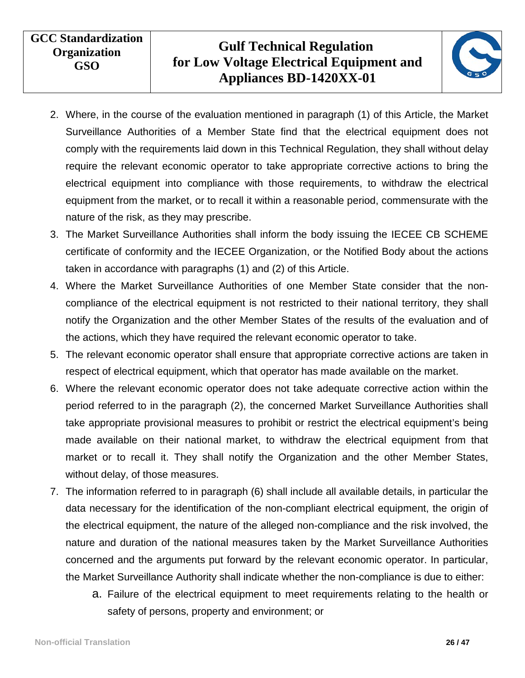

- 2. Where, in the course of the evaluation mentioned in paragraph (1) of this Article, the Market Surveillance Authorities of a Member State find that the electrical equipment does not comply with the requirements laid down in this Technical Regulation, they shall without delay require the relevant economic operator to take appropriate corrective actions to bring the electrical equipment into compliance with those requirements, to withdraw the electrical equipment from the market, or to recall it within a reasonable period, commensurate with the nature of the risk, as they may prescribe.
- 3. The Market Surveillance Authorities shall inform the body issuing the IECEE CB SCHEME certificate of conformity and the IECEE Organization, or the Notified Body about the actions taken in accordance with paragraphs (1) and (2) of this Article.
- 4. Where the Market Surveillance Authorities of one Member State consider that the noncompliance of the electrical equipment is not restricted to their national territory, they shall notify the Organization and the other Member States of the results of the evaluation and of the actions, which they have required the relevant economic operator to take.
- 5. The relevant economic operator shall ensure that appropriate corrective actions are taken in respect of electrical equipment, which that operator has made available on the market.
- 6. Where the relevant economic operator does not take adequate corrective action within the period referred to in the paragraph (2), the concerned Market Surveillance Authorities shall take appropriate provisional measures to prohibit or restrict the electrical equipment's being made available on their national market, to withdraw the electrical equipment from that market or to recall it. They shall notify the Organization and the other Member States, without delay, of those measures.
- 7. The information referred to in paragraph (6) shall include all available details, in particular the data necessary for the identification of the non-compliant electrical equipment, the origin of the electrical equipment, the nature of the alleged non-compliance and the risk involved, the nature and duration of the national measures taken by the Market Surveillance Authorities concerned and the arguments put forward by the relevant economic operator. In particular, the Market Surveillance Authority shall indicate whether the non-compliance is due to either:
	- a. Failure of the electrical equipment to meet requirements relating to the health or safety of persons, property and environment; or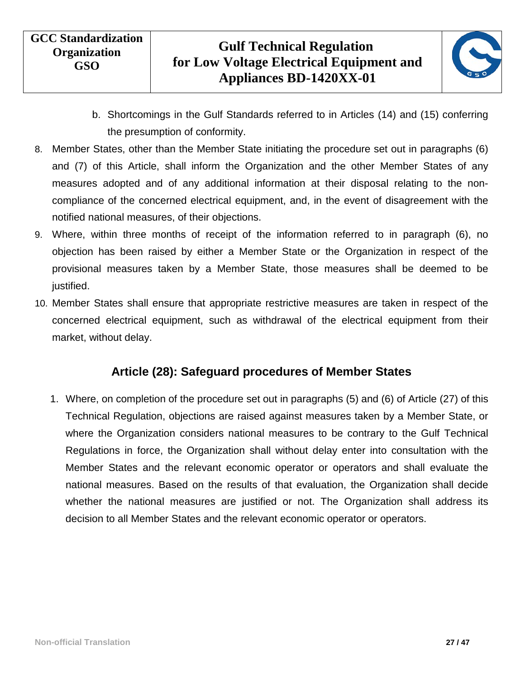

- b. Shortcomings in the Gulf Standards referred to in Articles (14) and (15) conferring the presumption of conformity.
- 8. Member States, other than the Member State initiating the procedure set out in paragraphs (6) and (7) of this Article, shall inform the Organization and the other Member States of any measures adopted and of any additional information at their disposal relating to the noncompliance of the concerned electrical equipment, and, in the event of disagreement with the notified national measures, of their objections.
- 9. Where, within three months of receipt of the information referred to in paragraph (6), no objection has been raised by either a Member State or the Organization in respect of the provisional measures taken by a Member State, those measures shall be deemed to be justified.
- <span id="page-26-0"></span>10. Member States shall ensure that appropriate restrictive measures are taken in respect of the concerned electrical equipment, such as withdrawal of the electrical equipment from their market, without delay.

#### **Article (28): Safeguard procedures of Member States**

1. Where, on completion of the procedure set out in paragraphs (5) and (6) of Article (27) of this Technical Regulation, objections are raised against measures taken by a Member State, or where the Organization considers national measures to be contrary to the Gulf Technical Regulations in force, the Organization shall without delay enter into consultation with the Member States and the relevant economic operator or operators and shall evaluate the national measures. Based on the results of that evaluation, the Organization shall decide whether the national measures are justified or not. The Organization shall address its decision to all Member States and the relevant economic operator or operators.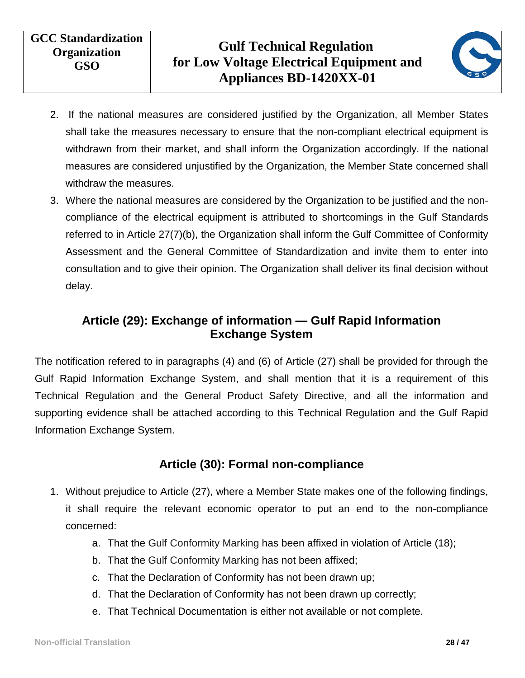

- 2. If the national measures are considered justified by the Organization, all Member States shall take the measures necessary to ensure that the non-compliant electrical equipment is withdrawn from their market, and shall inform the Organization accordingly. If the national measures are considered unjustified by the Organization, the Member State concerned shall withdraw the measures.
- 3. Where the national measures are considered by the Organization to be justified and the noncompliance of the electrical equipment is attributed to shortcomings in the Gulf Standards referred to in Article 27(7)(b), the Organization shall inform the Gulf Committee of Conformity Assessment and the General Committee of Standardization and invite them to enter into consultation and to give their opinion. The Organization shall deliver its final decision without delay.

#### <span id="page-27-0"></span>**Article (29): Exchange of information — Gulf Rapid Information Exchange System**

The notification refered to in paragraphs (4) and (6) of Article (27) shall be provided for through the Gulf Rapid Information Exchange System, and shall mention that it is a requirement of this Technical Regulation and the General Product Safety Directive, and all the information and supporting evidence shall be attached according to this Technical Regulation and the Gulf Rapid Information Exchange System.

#### **Article (30): Formal non-compliance**

- <span id="page-27-1"></span>1. Without prejudice to Article (27), where a Member State makes one of the following findings, it shall require the relevant economic operator to put an end to the non-compliance concerned:
	- a. That the Gulf Conformity Marking has been affixed in violation of Article (18);
	- b. That the Gulf Conformity Marking has not been affixed;
	- c. That the Declaration of Conformity has not been drawn up;
	- d. That the Declaration of Conformity has not been drawn up correctly;
	- e. That Technical Documentation is either not available or not complete.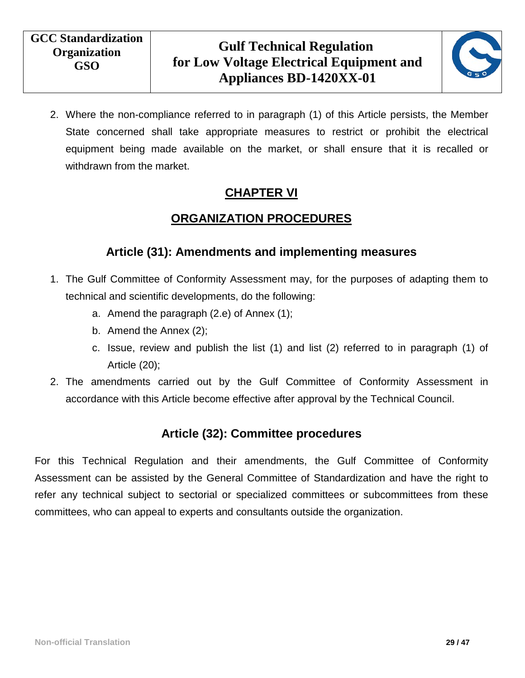

<span id="page-28-0"></span>2. Where the non-compliance referred to in paragraph (1) of this Article persists, the Member State concerned shall take appropriate measures to restrict or prohibit the electrical equipment being made available on the market, or shall ensure that it is recalled or withdrawn from the market.

#### **CHAPTER VI**

## **ORGANIZATION PROCEDURES**

#### **Article (31): Amendments and implementing measures**

- <span id="page-28-2"></span><span id="page-28-1"></span>1. The Gulf Committee of Conformity Assessment may, for the purposes of adapting them to technical and scientific developments, do the following:
	- a. Amend the paragraph (2.e) of Annex (1);
	- b. Amend the Annex (2);
	- c. Issue, review and publish the list (1) and list (2) referred to in paragraph (1) of Article (20);
- <span id="page-28-3"></span>2. The amendments carried out by the Gulf Committee of Conformity Assessment in accordance with this Article become effective after approval by the Technical Council.

#### **Article (32): Committee procedures**

For this Technical Regulation and their amendments, the Gulf Committee of Conformity Assessment can be assisted by the General Committee of Standardization and have the right to refer any technical subject to sectorial or specialized committees or subcommittees from these committees, who can appeal to experts and consultants outside the organization.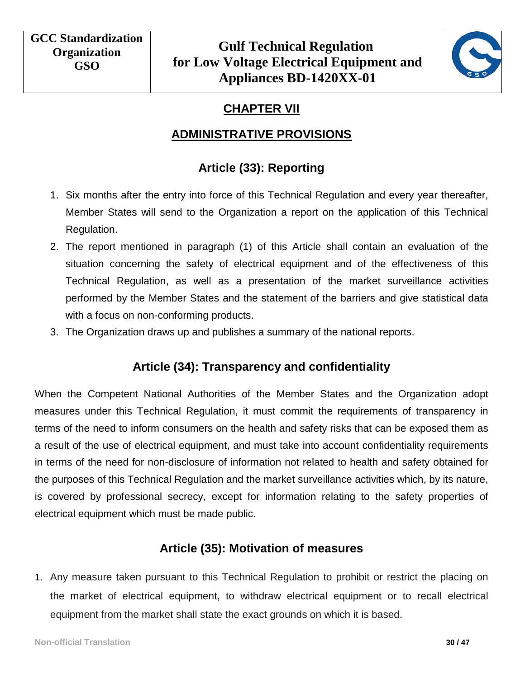

# **CHAPTER VII**

#### **ADMINISTRATIVE PROVISIONS**

# **Article (33): Reporting**

- <span id="page-29-2"></span><span id="page-29-1"></span><span id="page-29-0"></span>1. Six months after the entry into force of this Technical Regulation and every year thereafter, Member States will send to the Organization a report on the application of this Technical Regulation.
- 2. The report mentioned in paragraph (1) of this Article shall contain an evaluation of the situation concerning the safety of electrical equipment and of the effectiveness of this Technical Regulation, as well as a presentation of the market surveillance activities performed by the Member States and the statement of the barriers and give statistical data with a focus on non-conforming products.
- <span id="page-29-3"></span>3. The Organization draws up and publishes a summary of the national reports.

#### **Article (34): Transparency and confidentiality**

When the Competent National Authorities of the Member States and the Organization adopt measures under this Technical Regulation, it must commit the requirements of transparency in terms of the need to inform consumers on the health and safety risks that can be exposed them as a result of the use of electrical equipment, and must take into account confidentiality requirements in terms of the need for non-disclosure of information not related to health and safety obtained for the purposes of this Technical Regulation and the market surveillance activities which, by its nature, is covered by professional secrecy, except for information relating to the safety properties of electrical equipment which must be made public.

## **Article (35): Motivation of measures**

<span id="page-29-4"></span>1. Any measure taken pursuant to this Technical Regulation to prohibit or restrict the placing on the market of electrical equipment, to withdraw electrical equipment or to recall electrical equipment from the market shall state the exact grounds on which it is based.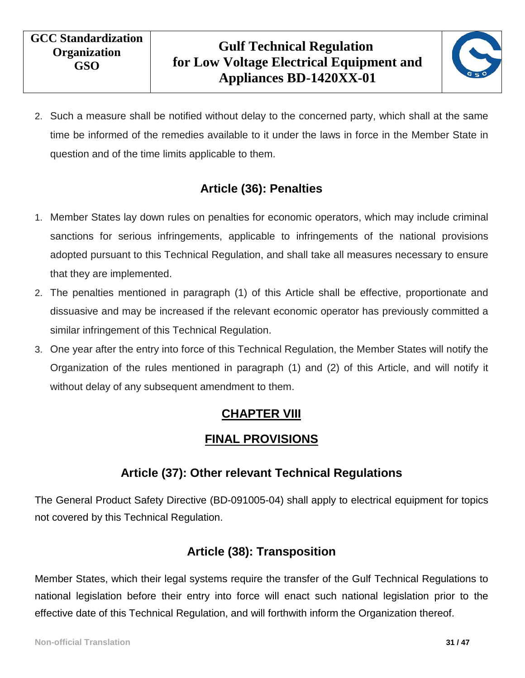

2. Such a measure shall be notified without delay to the concerned party, which shall at the same time be informed of the remedies available to it under the laws in force in the Member State in question and of the time limits applicable to them.

#### **Article (36): Penalties**

- <span id="page-30-0"></span>1. Member States lay down rules on penalties for economic operators, which may include criminal sanctions for serious infringements, applicable to infringements of the national provisions adopted pursuant to this Technical Regulation, and shall take all measures necessary to ensure that they are implemented.
- 2. The penalties mentioned in paragraph (1) of this Article shall be effective, proportionate and dissuasive and may be increased if the relevant economic operator has previously committed a similar infringement of this Technical Regulation.
- <span id="page-30-1"></span>3. One year after the entry into force of this Technical Regulation, the Member States will notify the Organization of the rules mentioned in paragraph (1) and (2) of this Article, and will notify it without delay of any subsequent amendment to them.

#### **CHAPTER VIII**

#### **FINAL PROVISIONS**

## **Article (37): Other relevant Technical Regulations**

<span id="page-30-4"></span><span id="page-30-3"></span><span id="page-30-2"></span>The General Product Safety Directive (BD-091005-04) shall apply to electrical equipment for topics not covered by this Technical Regulation.

#### **Article (38): Transposition**

Member States, which their legal systems require the transfer of the Gulf Technical Regulations to national legislation before their entry into force will enact such national legislation prior to the effective date of this Technical Regulation, and will forthwith inform the Organization thereof.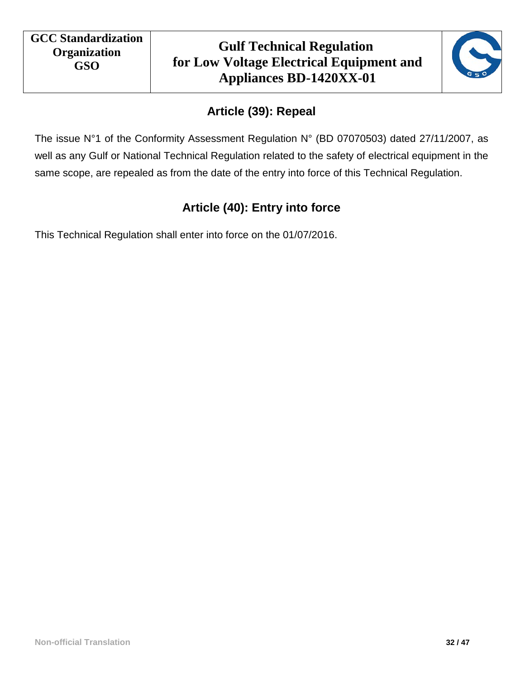

# **Article (39): Repeal**

<span id="page-31-1"></span><span id="page-31-0"></span>The issue N°1 of the Conformity Assessment Regulation N° (BD 07070503) dated 27/11/2007, as well as any Gulf or National Technical Regulation related to the safety of electrical equipment in the same scope, are repealed as from the date of the entry into force of this Technical Regulation.

# **Article (40): Entry into force**

This Technical Regulation shall enter into force on the 01/07/2016.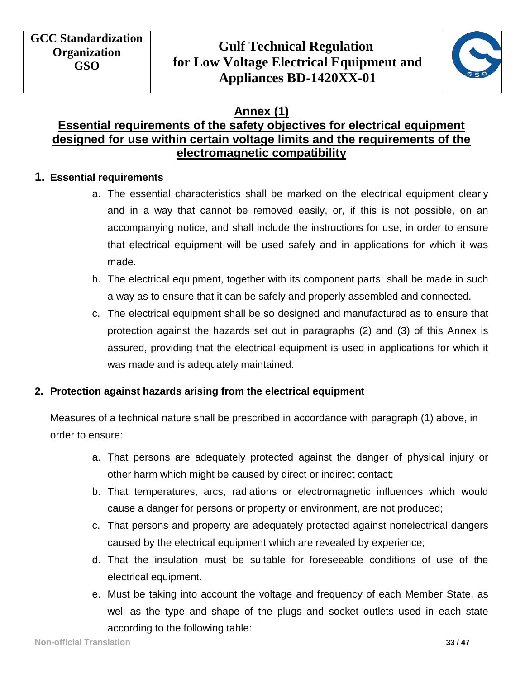

#### **Annex (1)**

#### <span id="page-32-0"></span>**Essential requirements of the safety objectives for electrical equipment designed for use within certain voltage limits and the requirements of the electromagnetic compatibility**

#### **1. Essential requirements**

- a. The essential characteristics shall be marked on the electrical equipment clearly and in a way that cannot be removed easily, or, if this is not possible, on an accompanying notice, and shall include the instructions for use, in order to ensure that electrical equipment will be used safely and in applications for which it was made.
- b. The electrical equipment, together with its component parts, shall be made in such a way as to ensure that it can be safely and properly assembled and connected.
- c. The electrical equipment shall be so designed and manufactured as to ensure that protection against the hazards set out in paragraphs (2) and (3) of this Annex is assured, providing that the electrical equipment is used in applications for which it was made and is adequately maintained.

#### **2. Protection against hazards arising from the electrical equipment**

Measures of a technical nature shall be prescribed in accordance with paragraph (1) above, in order to ensure:

- a. That persons are adequately protected against the danger of physical injury or other harm which might be caused by direct or indirect contact;
- b. That temperatures, arcs, radiations or electromagnetic influences which would cause a danger for persons or property or environment, are not produced;
- c. That persons and property are adequately protected against nonelectrical dangers caused by the electrical equipment which are revealed by experience;
- d. That the insulation must be suitable for foreseeable conditions of use of the electrical equipment.
- e. Must be taking into account the voltage and frequency of each Member State, as well as the type and shape of the plugs and socket outlets used in each state according to the following table: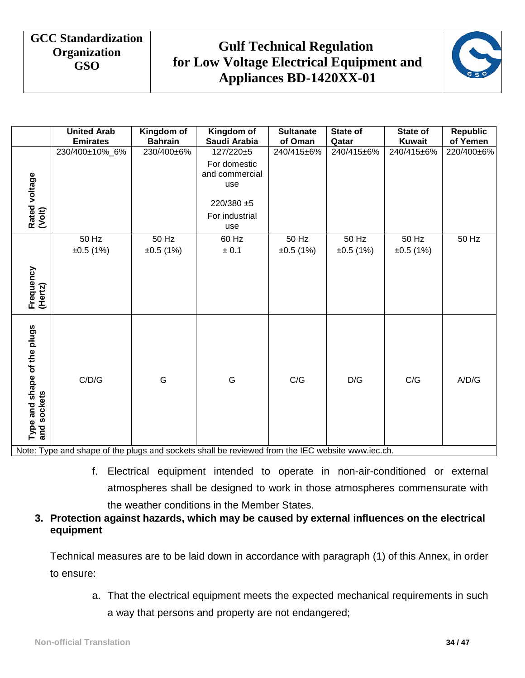# **Gulf Technical Regulation for Low Voltage Electrical Equipment and Appliances BD-1420XX-01**



|                                            | <b>United Arab</b>                                                                               | Kingdom of        | Kingdom of                                                              | <b>Sultanate</b>  | State of          | State of          | <b>Republic</b> |
|--------------------------------------------|--------------------------------------------------------------------------------------------------|-------------------|-------------------------------------------------------------------------|-------------------|-------------------|-------------------|-----------------|
|                                            | <b>Emirates</b>                                                                                  | <b>Bahrain</b>    | Saudi Arabia                                                            | of Oman           | Qatar             | <b>Kuwait</b>     | of Yemen        |
| Rated voltage<br>(Volt)                    | 230/400±10%_6%                                                                                   | 230/400±6%        | $127/220+5$<br>For domestic<br>and commercial<br>use<br>$220/380 \pm 5$ | 240/415±6%        | 240/415±6%        | 240/415±6%        | 220/400±6%      |
|                                            |                                                                                                  |                   | For industrial<br>use                                                   |                   |                   |                   |                 |
|                                            | 50 Hz<br>±0.5(1%)                                                                                | 50 Hz<br>±0.5(1%) | 60 Hz<br>$\pm$ 0.1                                                      | 50 Hz<br>±0.5(1%) | 50 Hz<br>±0.5(1%) | 50 Hz<br>±0.5(1%) | 50 Hz           |
| Frequency<br>(Hertz)                       |                                                                                                  |                   |                                                                         |                   |                   |                   |                 |
| Type and shape of the plugs<br>and sockets | C/D/G                                                                                            | G                 | G                                                                       | C/G               | D/G               | C/G               | A/D/G           |
|                                            | Note: Type and shape of the plugs and sockets shall be reviewed from the IEC website www.iec.ch. |                   |                                                                         |                   |                   |                   |                 |

f. Electrical equipment intended to operate in non-air-conditioned or external atmospheres shall be designed to work in those atmospheres commensurate with the weather conditions in the Member States.

#### **3. Protection against hazards, which may be caused by external influences on the electrical equipment**

Technical measures are to be laid down in accordance with paragraph (1) of this Annex, in order to ensure:

a. That the electrical equipment meets the expected mechanical requirements in such a way that persons and property are not endangered;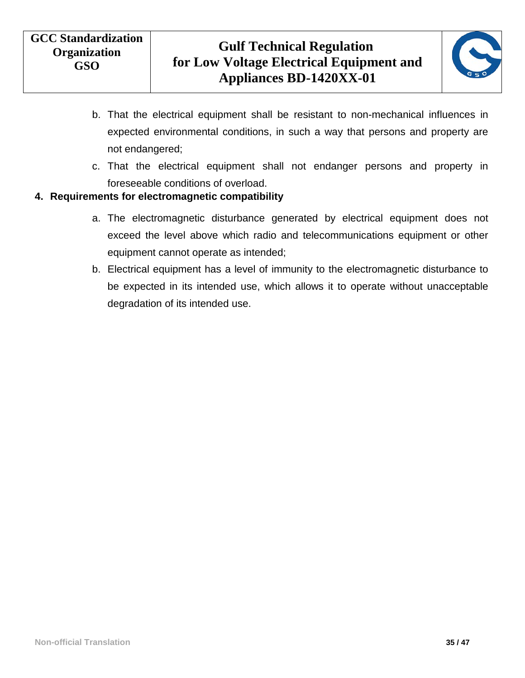

- b. That the electrical equipment shall be resistant to non-mechanical influences in expected environmental conditions, in such a way that persons and property are not endangered;
- c. That the electrical equipment shall not endanger persons and property in foreseeable conditions of overload.

#### **4. Requirements for electromagnetic compatibility**

- a. The electromagnetic disturbance generated by electrical equipment does not exceed the level above which radio and telecommunications equipment or other equipment cannot operate as intended;
- b. Electrical equipment has a level of immunity to the electromagnetic disturbance to be expected in its intended use, which allows it to operate without unacceptable degradation of its intended use.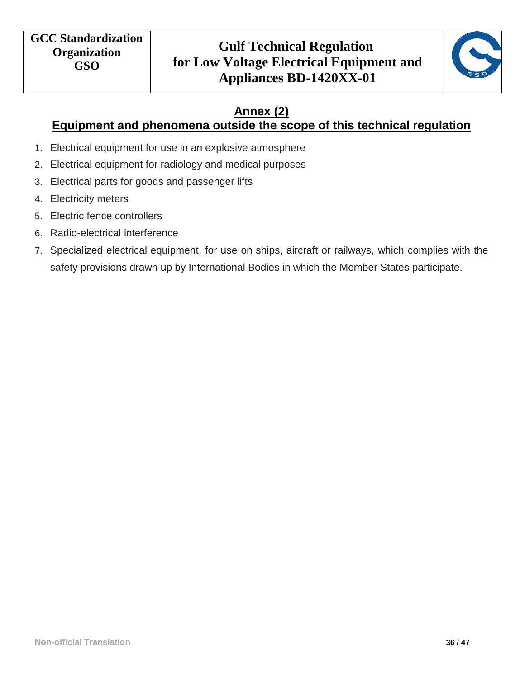

# **Annex (2)**

## <span id="page-35-0"></span>**Equipment and phenomena outside the scope of this technical regulation**

- 1. Electrical equipment for use in an explosive atmosphere
- 2. Electrical equipment for radiology and medical purposes
- 3. Electrical parts for goods and passenger lifts
- 4. Electricity meters
- 5. Electric fence controllers
- 6. Radio-electrical interference
- 7. Specialized electrical equipment, for use on ships, aircraft or railways, which complies with the safety provisions drawn up by International Bodies in which the Member States participate.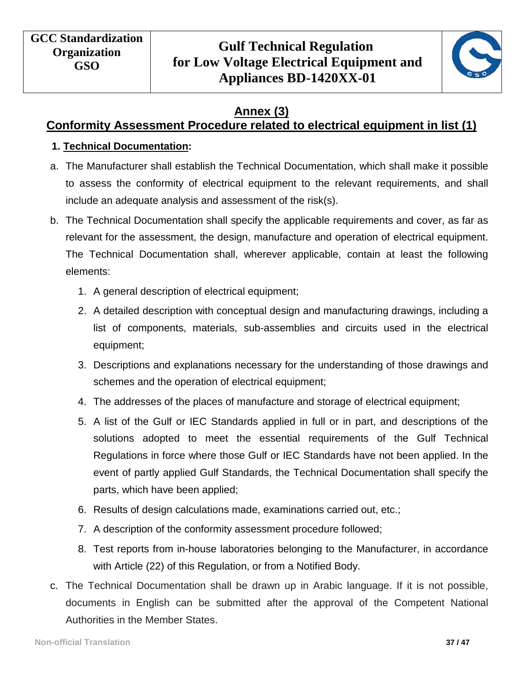

#### **Annex (3)**

#### <span id="page-36-0"></span>**Conformity Assessment Procedure related to electrical equipment in list (1)**

#### **1. Technical Documentation:**

- a. The Manufacturer shall establish the Technical Documentation, which shall make it possible to assess the conformity of electrical equipment to the relevant requirements, and shall include an adequate analysis and assessment of the risk(s).
- b. The Technical Documentation shall specify the applicable requirements and cover, as far as relevant for the assessment, the design, manufacture and operation of electrical equipment. The Technical Documentation shall, wherever applicable, contain at least the following elements:
	- 1. A general description of electrical equipment;
	- 2. A detailed description with conceptual design and manufacturing drawings, including a list of components, materials, sub-assemblies and circuits used in the electrical equipment;
	- 3. Descriptions and explanations necessary for the understanding of those drawings and schemes and the operation of electrical equipment;
	- 4. The addresses of the places of manufacture and storage of electrical equipment;
	- 5. A list of the Gulf or IEC Standards applied in full or in part, and descriptions of the solutions adopted to meet the essential requirements of the Gulf Technical Regulations in force where those Gulf or IEC Standards have not been applied. In the event of partly applied Gulf Standards, the Technical Documentation shall specify the parts, which have been applied;
	- 6. Results of design calculations made, examinations carried out, etc.;
	- 7. A description of the conformity assessment procedure followed;
	- 8. Test reports from in-house laboratories belonging to the Manufacturer, in accordance with Article (22) of this Regulation, or from a Notified Body.
- c. The Technical Documentation shall be drawn up in Arabic language. If it is not possible, documents in English can be submitted after the approval of the Competent National Authorities in the Member States.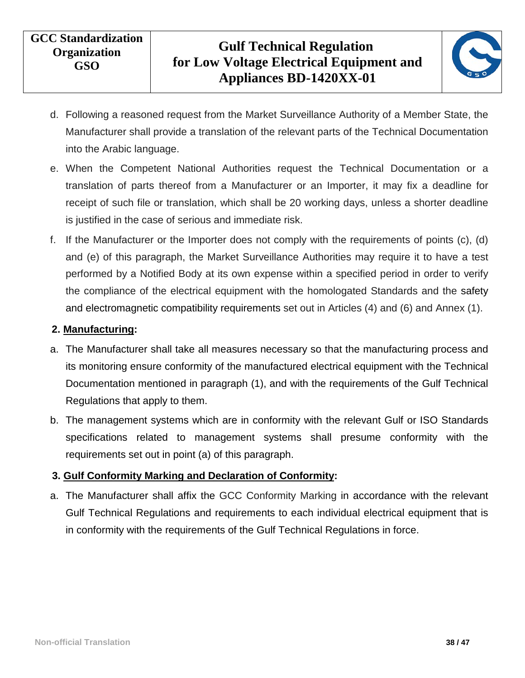

- d. Following a reasoned request from the Market Surveillance Authority of a Member State, the Manufacturer shall provide a translation of the relevant parts of the Technical Documentation into the Arabic language.
- e. When the Competent National Authorities request the Technical Documentation or a translation of parts thereof from a Manufacturer or an Importer, it may fix a deadline for receipt of such file or translation, which shall be 20 working days, unless a shorter deadline is justified in the case of serious and immediate risk.
- f. If the Manufacturer or the Importer does not comply with the requirements of points (c), (d) and (e) of this paragraph, the Market Surveillance Authorities may require it to have a test performed by a Notified Body at its own expense within a specified period in order to verify the compliance of the electrical equipment with the homologated Standards and the safety and electromagnetic compatibility requirements set out in Articles (4) and (6) and Annex (1).

#### **2. Manufacturing:**

- a. The Manufacturer shall take all measures necessary so that the manufacturing process and its monitoring ensure conformity of the manufactured electrical equipment with the Technical Documentation mentioned in paragraph (1), and with the requirements of the Gulf Technical Regulations that apply to them.
- b. The management systems which are in conformity with the relevant Gulf or ISO Standards specifications related to management systems shall presume conformity with the requirements set out in point (a) of this paragraph.

#### **3. Gulf Conformity Marking and Declaration of Conformity:**

a. The Manufacturer shall affix the GCC Conformity Marking in accordance with the relevant Gulf Technical Regulations and requirements to each individual electrical equipment that is in conformity with the requirements of the Gulf Technical Regulations in force.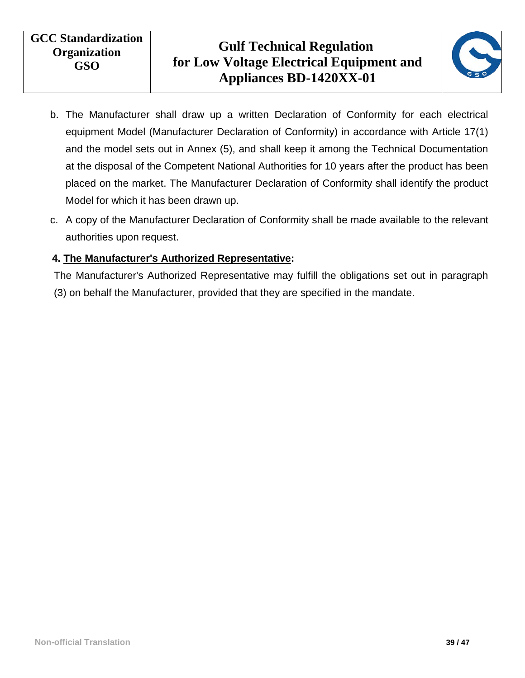

- b. The Manufacturer shall draw up a written Declaration of Conformity for each electrical equipment Model (Manufacturer Declaration of Conformity) in accordance with Article 17(1) and the model sets out in Annex (5), and shall keep it among the Technical Documentation at the disposal of the Competent National Authorities for 10 years after the product has been placed on the market. The Manufacturer Declaration of Conformity shall identify the product Model for which it has been drawn up.
- c. A copy of the Manufacturer Declaration of Conformity shall be made available to the relevant authorities upon request.

#### **4. The Manufacturer's Authorized Representative:**

The Manufacturer's Authorized Representative may fulfill the obligations set out in paragraph (3) on behalf the Manufacturer, provided that they are specified in the mandate.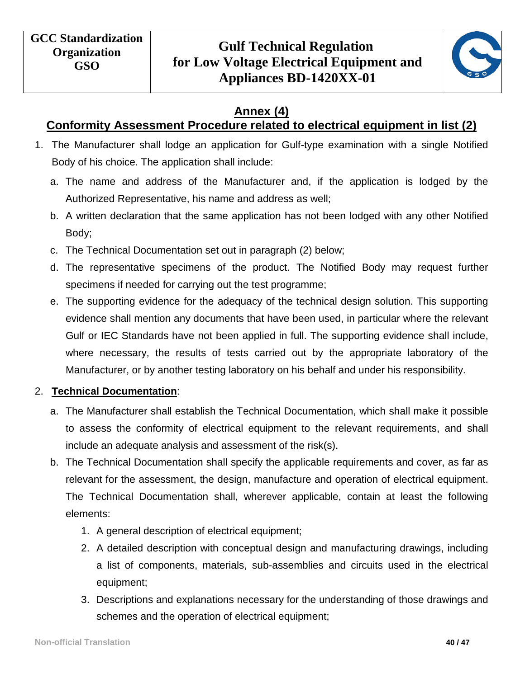

## **Annex (4)**

## <span id="page-39-0"></span>**Conformity Assessment Procedure related to electrical equipment in list (2)**

- 1. The Manufacturer shall lodge an application for Gulf-type examination with a single Notified Body of his choice. The application shall include:
	- a. The name and address of the Manufacturer and, if the application is lodged by the Authorized Representative, his name and address as well;
	- b. A written declaration that the same application has not been lodged with any other Notified Body;
	- c. The Technical Documentation set out in paragraph (2) below;
	- d. The representative specimens of the product. The Notified Body may request further specimens if needed for carrying out the test programme;
	- e. The supporting evidence for the adequacy of the technical design solution. This supporting evidence shall mention any documents that have been used, in particular where the relevant Gulf or IEC Standards have not been applied in full. The supporting evidence shall include, where necessary, the results of tests carried out by the appropriate laboratory of the Manufacturer, or by another testing laboratory on his behalf and under his responsibility.

#### 2. **Technical Documentation**:

- a. The Manufacturer shall establish the Technical Documentation, which shall make it possible to assess the conformity of electrical equipment to the relevant requirements, and shall include an adequate analysis and assessment of the risk(s).
- b. The Technical Documentation shall specify the applicable requirements and cover, as far as relevant for the assessment, the design, manufacture and operation of electrical equipment. The Technical Documentation shall, wherever applicable, contain at least the following elements:
	- 1. A general description of electrical equipment;
	- 2. A detailed description with conceptual design and manufacturing drawings, including a list of components, materials, sub-assemblies and circuits used in the electrical equipment;
	- 3. Descriptions and explanations necessary for the understanding of those drawings and schemes and the operation of electrical equipment;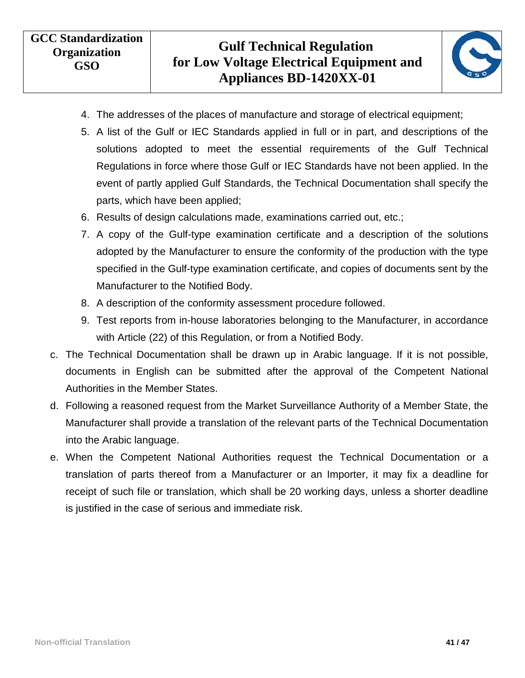

- 4. The addresses of the places of manufacture and storage of electrical equipment;
- 5. A list of the Gulf or IEC Standards applied in full or in part, and descriptions of the solutions adopted to meet the essential requirements of the Gulf Technical Regulations in force where those Gulf or IEC Standards have not been applied. In the event of partly applied Gulf Standards, the Technical Documentation shall specify the parts, which have been applied;
- 6. Results of design calculations made, examinations carried out, etc.;
- 7. A copy of the Gulf-type examination certificate and a description of the solutions adopted by the Manufacturer to ensure the conformity of the production with the type specified in the Gulf-type examination certificate, and copies of documents sent by the Manufacturer to the Notified Body.
- 8. A description of the conformity assessment procedure followed.
- 9. Test reports from in-house laboratories belonging to the Manufacturer, in accordance with Article (22) of this Regulation, or from a Notified Body.
- c. The Technical Documentation shall be drawn up in Arabic language. If it is not possible, documents in English can be submitted after the approval of the Competent National Authorities in the Member States.
- d. Following a reasoned request from the Market Surveillance Authority of a Member State, the Manufacturer shall provide a translation of the relevant parts of the Technical Documentation into the Arabic language.
- e. When the Competent National Authorities request the Technical Documentation or a translation of parts thereof from a Manufacturer or an Importer, it may fix a deadline for receipt of such file or translation, which shall be 20 working days, unless a shorter deadline is justified in the case of serious and immediate risk.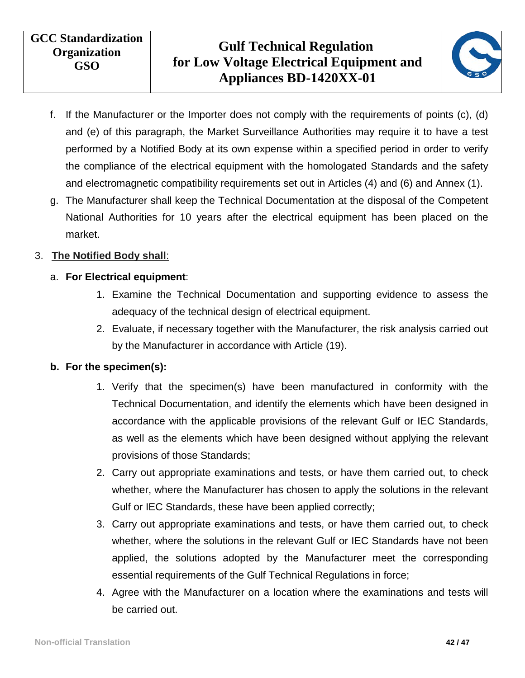

- f. If the Manufacturer or the Importer does not comply with the requirements of points (c), (d) and (e) of this paragraph, the Market Surveillance Authorities may require it to have a test performed by a Notified Body at its own expense within a specified period in order to verify the compliance of the electrical equipment with the homologated Standards and the safety and electromagnetic compatibility requirements set out in Articles (4) and (6) and Annex (1).
- g. The Manufacturer shall keep the Technical Documentation at the disposal of the Competent National Authorities for 10 years after the electrical equipment has been placed on the market.

#### 3. **The Notified Body shall**:

#### a. **For Electrical equipment**:

- 1. Examine the Technical Documentation and supporting evidence to assess the adequacy of the technical design of electrical equipment.
- 2. Evaluate, if necessary together with the Manufacturer, the risk analysis carried out by the Manufacturer in accordance with Article (19).

#### **b. For the specimen(s):**

- 1. Verify that the specimen(s) have been manufactured in conformity with the Technical Documentation, and identify the elements which have been designed in accordance with the applicable provisions of the relevant Gulf or IEC Standards, as well as the elements which have been designed without applying the relevant provisions of those Standards;
- 2. Carry out appropriate examinations and tests, or have them carried out, to check whether, where the Manufacturer has chosen to apply the solutions in the relevant Gulf or IEC Standards, these have been applied correctly;
- 3. Carry out appropriate examinations and tests, or have them carried out, to check whether, where the solutions in the relevant Gulf or IEC Standards have not been applied, the solutions adopted by the Manufacturer meet the corresponding essential requirements of the Gulf Technical Regulations in force;
- 4. Agree with the Manufacturer on a location where the examinations and tests will be carried out.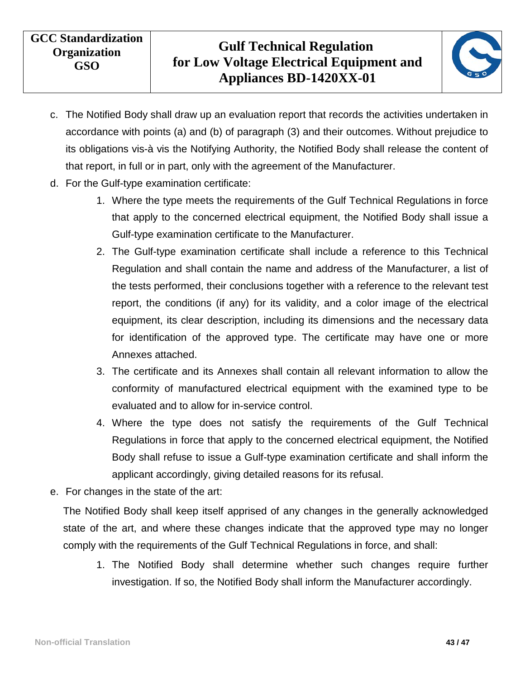

- c. The Notified Body shall draw up an evaluation report that records the activities undertaken in accordance with points (a) and (b) of paragraph (3) and their outcomes. Without prejudice to its obligations vis-à vis the Notifying Authority, the Notified Body shall release the content of that report, in full or in part, only with the agreement of the Manufacturer.
- d. For the Gulf-type examination certificate:
	- 1. Where the type meets the requirements of the Gulf Technical Regulations in force that apply to the concerned electrical equipment, the Notified Body shall issue a Gulf-type examination certificate to the Manufacturer.
	- 2. The Gulf-type examination certificate shall include a reference to this Technical Regulation and shall contain the name and address of the Manufacturer, a list of the tests performed, their conclusions together with a reference to the relevant test report, the conditions (if any) for its validity, and a color image of the electrical equipment, its clear description, including its dimensions and the necessary data for identification of the approved type. The certificate may have one or more Annexes attached.
	- 3. The certificate and its Annexes shall contain all relevant information to allow the conformity of manufactured electrical equipment with the examined type to be evaluated and to allow for in-service control.
	- 4. Where the type does not satisfy the requirements of the Gulf Technical Regulations in force that apply to the concerned electrical equipment, the Notified Body shall refuse to issue a Gulf-type examination certificate and shall inform the applicant accordingly, giving detailed reasons for its refusal.
- e. For changes in the state of the art:

The Notified Body shall keep itself apprised of any changes in the generally acknowledged state of the art, and where these changes indicate that the approved type may no longer comply with the requirements of the Gulf Technical Regulations in force, and shall:

1. The Notified Body shall determine whether such changes require further investigation. If so, the Notified Body shall inform the Manufacturer accordingly.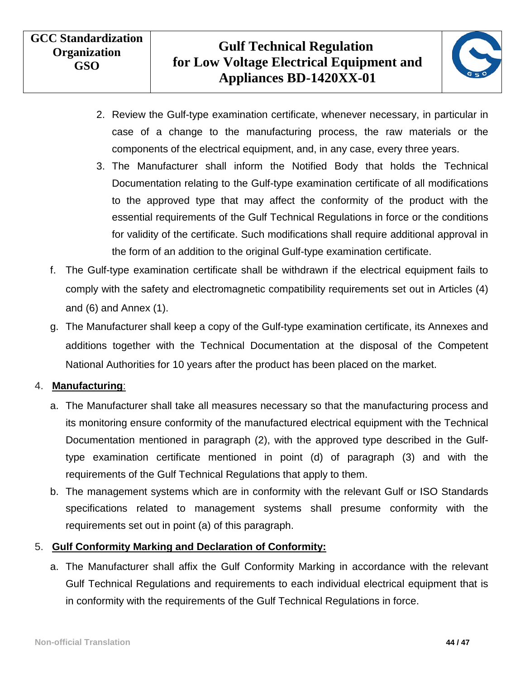

- 2. Review the Gulf-type examination certificate, whenever necessary, in particular in case of a change to the manufacturing process, the raw materials or the components of the electrical equipment, and, in any case, every three years.
- 3. The Manufacturer shall inform the Notified Body that holds the Technical Documentation relating to the Gulf-type examination certificate of all modifications to the approved type that may affect the conformity of the product with the essential requirements of the Gulf Technical Regulations in force or the conditions for validity of the certificate. Such modifications shall require additional approval in the form of an addition to the original Gulf-type examination certificate.
- f. The Gulf-type examination certificate shall be withdrawn if the electrical equipment fails to comply with the safety and electromagnetic compatibility requirements set out in Articles (4) and (6) and Annex (1).
- g. The Manufacturer shall keep a copy of the Gulf-type examination certificate, its Annexes and additions together with the Technical Documentation at the disposal of the Competent National Authorities for 10 years after the product has been placed on the market.

#### 4. **Manufacturing**:

- a. The Manufacturer shall take all measures necessary so that the manufacturing process and its monitoring ensure conformity of the manufactured electrical equipment with the Technical Documentation mentioned in paragraph (2), with the approved type described in the Gulftype examination certificate mentioned in point (d) of paragraph (3) and with the requirements of the Gulf Technical Regulations that apply to them.
- b. The management systems which are in conformity with the relevant Gulf or ISO Standards specifications related to management systems shall presume conformity with the requirements set out in point (a) of this paragraph.

#### 5. **Gulf Conformity Marking and Declaration of Conformity:**

a. The Manufacturer shall affix the Gulf Conformity Marking in accordance with the relevant Gulf Technical Regulations and requirements to each individual electrical equipment that is in conformity with the requirements of the Gulf Technical Regulations in force.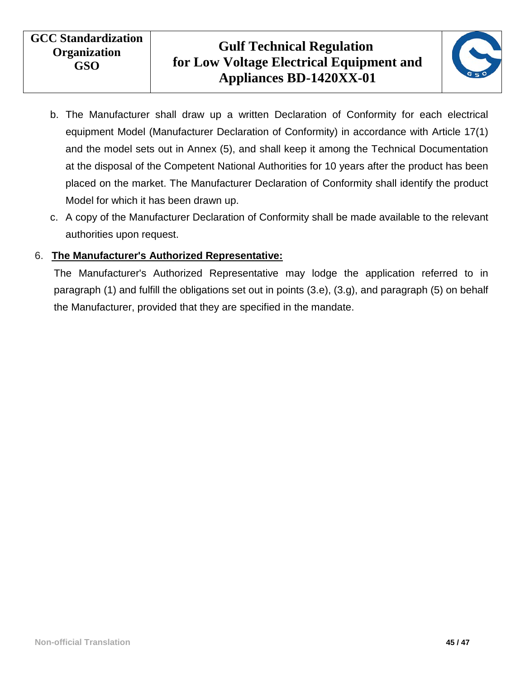

- b. The Manufacturer shall draw up a written Declaration of Conformity for each electrical equipment Model (Manufacturer Declaration of Conformity) in accordance with Article 17(1) and the model sets out in Annex (5), and shall keep it among the Technical Documentation at the disposal of the Competent National Authorities for 10 years after the product has been placed on the market. The Manufacturer Declaration of Conformity shall identify the product Model for which it has been drawn up.
- c. A copy of the Manufacturer Declaration of Conformity shall be made available to the relevant authorities upon request.

#### 6. **The Manufacturer's Authorized Representative:**

The Manufacturer's Authorized Representative may lodge the application referred to in paragraph (1) and fulfill the obligations set out in points (3.e), (3.g), and paragraph (5) on behalf the Manufacturer, provided that they are specified in the mandate.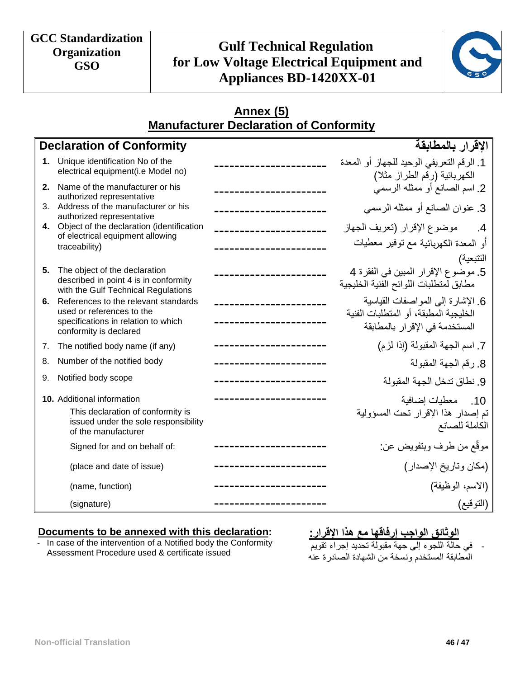# **Gulf Technical Regulation for Low Voltage Electrical Equipment and Appliances BD-1420XX-01**



#### **Annex (5) Manufacturer Declaration of Conformity**

<span id="page-45-0"></span>

|      | <b>Declaration of Conformity</b>                                                                              | الإقرار بالمطابقة                                                             |
|------|---------------------------------------------------------------------------------------------------------------|-------------------------------------------------------------------------------|
|      | 1. Unique identification No of the<br>electrical equipment(i.e Model no)                                      | 1. الرقم التعريفي الوحيد للجهاز أو المعدة<br>الكهربائية (رقم الطراز مثلا)     |
| $2-$ | Name of the manufacturer or his<br>authorized representative                                                  | 2. اسم الصانع أو ممثله الرسمي                                                 |
|      | 3. Address of the manufacturer or his<br>authorized representative                                            | 3. عنوان الصانع أو ممثله الرسمي                                               |
|      | 4. Object of the declaration (identification<br>of electrical equipment allowing                              | موضوع الإقرار (تعريف الجهاز<br>.4                                             |
|      | traceability)                                                                                                 | أو المعدة الكهربائية مع توفير معطيات<br>التتبعية)                             |
| 5.   | The object of the declaration<br>described in point 4 is in conformity<br>with the Gulf Technical Regulations | 5. موضوع الإقرار المبين في الفقرة 4<br>مطابق لمتطلبات اللوائح الفنية الخليجية |
| 6.   | References to the relevant standards<br>used or references to the                                             | 6. الإشارة إلى المواصفات القياسية                                             |
|      | specifications in relation to which<br>conformity is declared                                                 | الخليجية المطبقة، أو المتطلبات الفنية<br>المستخدمة في الإقرار بالمطابقة       |
| 7.   | The notified body name (if any)                                                                               | 7. اسم الجهة المقبولة (إذا لزم)                                               |
| 8.   | Number of the notified body                                                                                   | 8. رقم الجهة المقبولة                                                         |
| 9.   | Notified body scope                                                                                           | 9. نطاق تدخل الجهة المقبو لة                                                  |
|      | 10. Additional information                                                                                    | 10. معطيات إضافية                                                             |
|      | This declaration of conformity is<br>issued under the sole responsibility<br>of the manufacturer              | تم إصدار هذا الإقرار تحت المسؤولية<br>الكاملة للصانع                          |
|      | Signed for and on behalf of:                                                                                  | موقَّع من طرف وبتفويض عن:                                                     |
|      | (place and date of issue)                                                                                     | (مكان وتاريخ الإصدار)                                                         |
|      | (name, function)                                                                                              | (الاسم، الوظيفة)                                                              |
|      | (signature)                                                                                                   | (التوقيع)                                                                     |

#### **Documents to be annexed with this declaration:**

- In case of the intervention of a Notified body the Conformity Assessment Procedure used & certificate issued

**الوثائق الواجب إرفاقها مع هذا الإقرار:**

- في حالة اللجوء إلى جهة مقبولة تحديد إجراء تقويم المطابقة المستخدم ونسخة من الشهادة الصادرة عنه